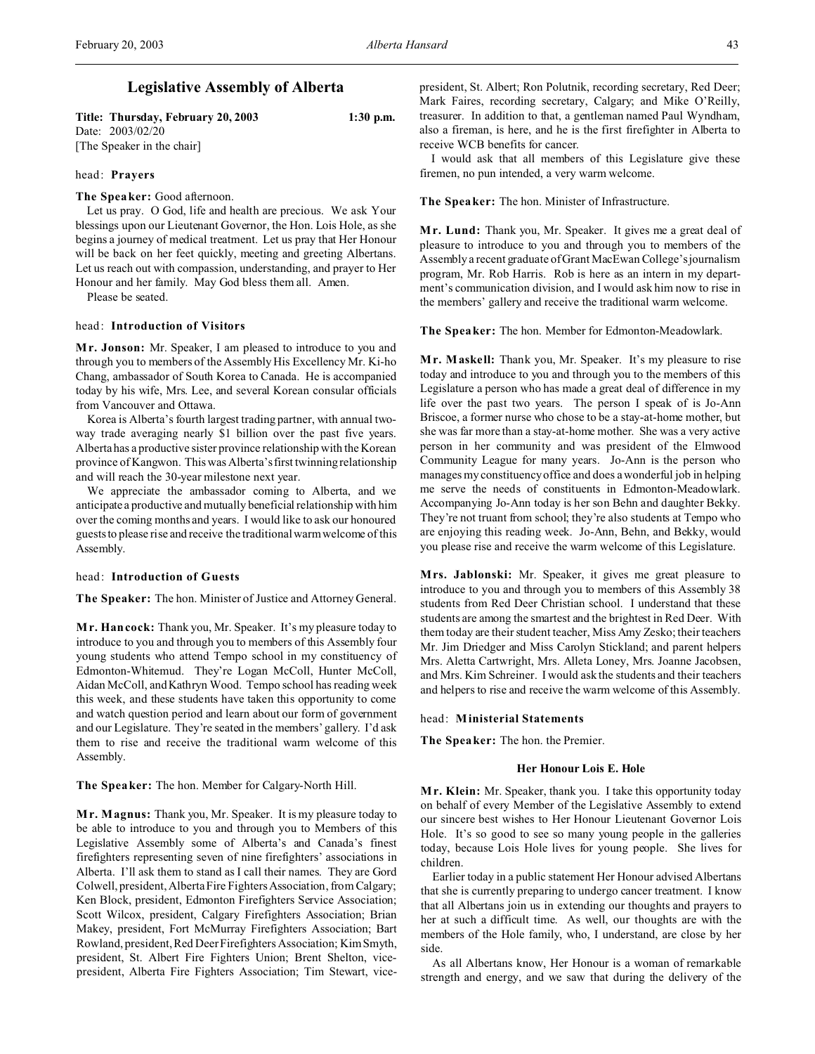**Title: Thursday, February 20, 2003 1:30 p.m.** Date: 2003/02/20 [The Speaker in the chair]

## head: **Prayers**

**The Speaker:** Good afternoon.

Let us pray. O God, life and health are precious. We ask Your blessings upon our Lieutenant Governor, the Hon. Lois Hole, as she begins a journey of medical treatment. Let us pray that Her Honour will be back on her feet quickly, meeting and greeting Albertans. Let us reach out with compassion, understanding, and prayer to Her Honour and her family. May God bless them all. Amen.

Please be seated.

#### head: **Introduction of Visitors**

**M r. Jonson:** Mr. Speaker, I am pleased to introduce to you and through you to members of the Assembly His Excellency Mr. Ki-ho Chang, ambassador of South Korea to Canada. He is accompanied today by his wife, Mrs. Lee, and several Korean consular officials from Vancouver and Ottawa.

Korea is Alberta's fourth largest trading partner, with annual twoway trade averaging nearly \$1 billion over the past five years. Alberta has a productive sister province relationship with the Korean province of Kangwon. This was Alberta's first twinning relationship and will reach the 30-year milestone next year.

We appreciate the ambassador coming to Alberta, and we anticipate a productive and mutually beneficial relationship with him over the coming months and years. I would like to ask our honoured guests to please rise and receive the traditional warm welcome of this Assembly.

## head: **Introduction of Guests**

**The Speaker:** The hon. Minister of Justice and Attorney General.

**M r. Hancock:** Thank you, Mr. Speaker. It's my pleasure today to introduce to you and through you to members of this Assembly four young students who attend Tempo school in my constituency of Edmonton-Whitemud. They're Logan McColl, Hunter McColl, Aidan McColl, and Kathryn Wood. Tempo school has reading week this week, and these students have taken this opportunity to come and watch question period and learn about our form of government and our Legislature. They're seated in the members' gallery. I'd ask them to rise and receive the traditional warm welcome of this Assembly.

**The Speaker:** The hon. Member for Calgary-North Hill.

**M r. Magnus:** Thank you, Mr. Speaker. It is my pleasure today to be able to introduce to you and through you to Members of this Legislative Assembly some of Alberta's and Canada's finest firefighters representing seven of nine firefighters' associations in Alberta. I'll ask them to stand as I call their names. They are Gord Colwell, president, Alberta Fire Fighters Association, from Calgary; Ken Block, president, Edmonton Firefighters Service Association; Scott Wilcox, president, Calgary Firefighters Association; Brian Makey, president, Fort McMurray Firefighters Association; Bart Rowland, president, Red Deer Firefighters Association; Kim Smyth, president, St. Albert Fire Fighters Union; Brent Shelton, vicepresident, Alberta Fire Fighters Association; Tim Stewart, vicepresident, St. Albert; Ron Polutnik, recording secretary, Red Deer; Mark Faires, recording secretary, Calgary; and Mike O'Reilly, treasurer. In addition to that, a gentleman named Paul Wyndham, also a fireman, is here, and he is the first firefighter in Alberta to receive WCB benefits for cancer.

I would ask that all members of this Legislature give these firemen, no pun intended, a very warm welcome.

**The Speaker:** The hon. Minister of Infrastructure.

**M r. Lund:** Thank you, Mr. Speaker. It gives me a great deal of pleasure to introduce to you and through you to members of the Assembly a recent graduate of Grant MacEwan College's journalism program, Mr. Rob Harris. Rob is here as an intern in my department's communication division, and I would ask him now to rise in the members' gallery and receive the traditional warm welcome.

**The Speaker:** The hon. Member for Edmonton-Meadowlark.

**M r. Maskell:** Thank you, Mr. Speaker. It's my pleasure to rise today and introduce to you and through you to the members of this Legislature a person who has made a great deal of difference in my life over the past two years. The person I speak of is Jo-Ann Briscoe, a former nurse who chose to be a stay-at-home mother, but she was far more than a stay-at-home mother. She was a very active person in her community and was president of the Elmwood Community League for many years. Jo-Ann is the person who manages my constituency office and does a wonderful job in helping me serve the needs of constituents in Edmonton-Meadowlark. Accompanying Jo-Ann today is her son Behn and daughter Bekky. They're not truant from school; they're also students at Tempo who are enjoying this reading week. Jo-Ann, Behn, and Bekky, would you please rise and receive the warm welcome of this Legislature.

**Mrs. Jablonski:** Mr. Speaker, it gives me great pleasure to introduce to you and through you to members of this Assembly 38 students from Red Deer Christian school. I understand that these students are among the smartest and the brightest in Red Deer. With them today are their student teacher, Miss Amy Zesko; their teachers Mr. Jim Driedger and Miss Carolyn Stickland; and parent helpers Mrs. Aletta Cartwright, Mrs. Alleta Loney, Mrs. Joanne Jacobsen, and Mrs. Kim Schreiner. I would ask the students and their teachers and helpers to rise and receive the warm welcome of this Assembly.

head: **Ministerial Statements**

**The Speaker:** The hon. the Premier.

## **Her Honour Lois E. Hole**

**M r. Klein:** Mr. Speaker, thank you. I take this opportunity today on behalf of every Member of the Legislative Assembly to extend our sincere best wishes to Her Honour Lieutenant Governor Lois Hole. It's so good to see so many young people in the galleries today, because Lois Hole lives for young people. She lives for children.

Earlier today in a public statement Her Honour advised Albertans that she is currently preparing to undergo cancer treatment. I know that all Albertans join us in extending our thoughts and prayers to her at such a difficult time. As well, our thoughts are with the members of the Hole family, who, I understand, are close by her side.

As all Albertans know, Her Honour is a woman of remarkable strength and energy, and we saw that during the delivery of the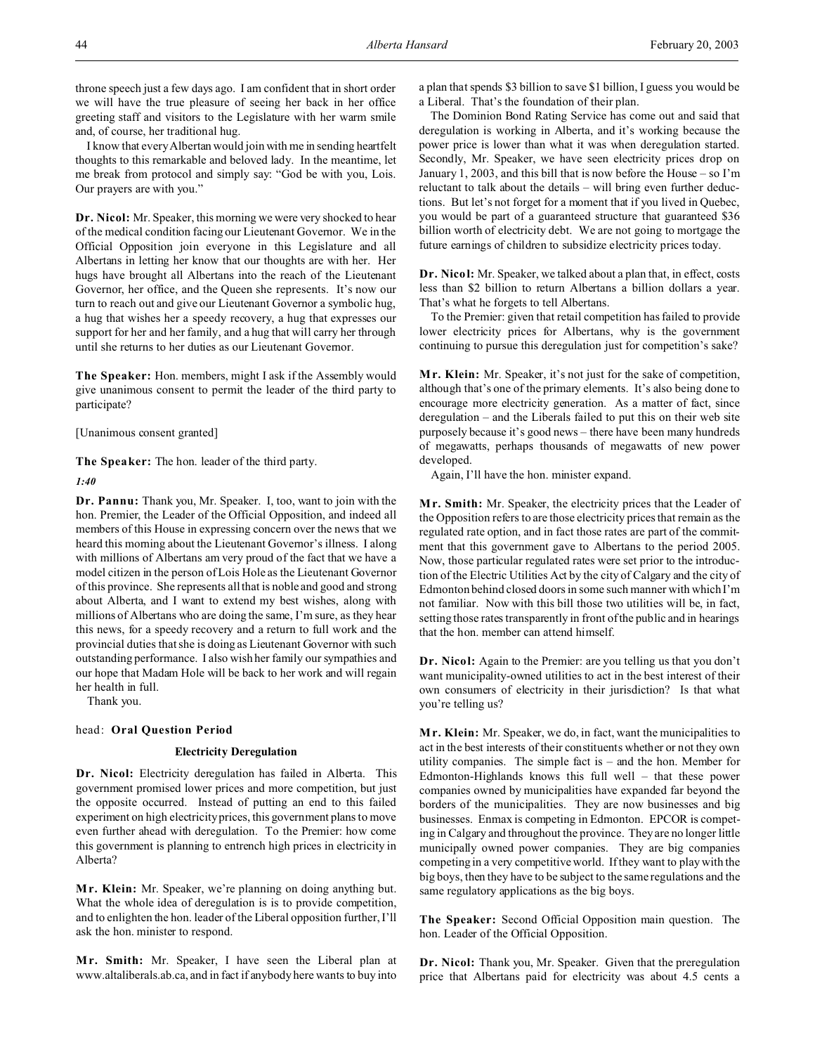throne speech just a few days ago. I am confident that in short order we will have the true pleasure of seeing her back in her office greeting staff and visitors to the Legislature with her warm smile and, of course, her traditional hug.

I know that every Albertan would join with me in sending heartfelt thoughts to this remarkable and beloved lady. In the meantime, let me break from protocol and simply say: "God be with you, Lois. Our prayers are with you."

**Dr. Nicol:** Mr. Speaker, this morning we were very shocked to hear of the medical condition facing our Lieutenant Governor. We in the Official Opposition join everyone in this Legislature and all Albertans in letting her know that our thoughts are with her. Her hugs have brought all Albertans into the reach of the Lieutenant Governor, her office, and the Queen she represents. It's now our turn to reach out and give our Lieutenant Governor a symbolic hug, a hug that wishes her a speedy recovery, a hug that expresses our support for her and her family, and a hug that will carry her through until she returns to her duties as our Lieutenant Governor.

**The Speaker:** Hon. members, might I ask if the Assembly would give unanimous consent to permit the leader of the third party to participate?

[Unanimous consent granted]

**The Speaker:** The hon. leader of the third party.

*1:40*

**Dr. Pannu:** Thank you, Mr. Speaker. I, too, want to join with the hon. Premier, the Leader of the Official Opposition, and indeed all members of this House in expressing concern over the news that we heard this morning about the Lieutenant Governor's illness. I along with millions of Albertans am very proud of the fact that we have a model citizen in the person of Lois Hole as the Lieutenant Governor of this province. She represents all that is noble and good and strong about Alberta, and I want to extend my best wishes, along with millions of Albertans who are doing the same, I'm sure, as they hear this news, for a speedy recovery and a return to full work and the provincial duties that she is doing as Lieutenant Governor with such outstanding performance. I also wish her family our sympathies and our hope that Madam Hole will be back to her work and will regain her health in full.

Thank you.

# head: **Oral Question Period**

## **Electricity Deregulation**

**Dr. Nicol:** Electricity deregulation has failed in Alberta. This government promised lower prices and more competition, but just the opposite occurred. Instead of putting an end to this failed experiment on high electricity prices, this government plans to move even further ahead with deregulation. To the Premier: how come this government is planning to entrench high prices in electricity in Alberta?

**M r. Klein:** Mr. Speaker, we're planning on doing anything but. What the whole idea of deregulation is is to provide competition, and to enlighten the hon. leader of the Liberal opposition further, I'll ask the hon. minister to respond.

**M r. Smith:** Mr. Speaker, I have seen the Liberal plan at www.altaliberals.ab.ca, and in fact if anybody here wants to buy into a plan that spends \$3 billion to save \$1 billion, I guess you would be a Liberal. That's the foundation of their plan.

The Dominion Bond Rating Service has come out and said that deregulation is working in Alberta, and it's working because the power price is lower than what it was when deregulation started. Secondly, Mr. Speaker, we have seen electricity prices drop on January 1, 2003, and this bill that is now before the House – so I'm reluctant to talk about the details – will bring even further deductions. But let's not forget for a moment that if you lived in Quebec, you would be part of a guaranteed structure that guaranteed \$36 billion worth of electricity debt. We are not going to mortgage the future earnings of children to subsidize electricity prices today.

**Dr. Nicol:** Mr. Speaker, we talked about a plan that, in effect, costs less than \$2 billion to return Albertans a billion dollars a year. That's what he forgets to tell Albertans.

To the Premier: given that retail competition has failed to provide lower electricity prices for Albertans, why is the government continuing to pursue this deregulation just for competition's sake?

**M r. Klein:** Mr. Speaker, it's not just for the sake of competition, although that's one of the primary elements. It's also being done to encourage more electricity generation. As a matter of fact, since deregulation – and the Liberals failed to put this on their web site purposely because it's good news – there have been many hundreds of megawatts, perhaps thousands of megawatts of new power developed.

Again, I'll have the hon. minister expand.

**M r. Smith:** Mr. Speaker, the electricity prices that the Leader of the Opposition refers to are those electricity prices that remain as the regulated rate option, and in fact those rates are part of the commitment that this government gave to Albertans to the period 2005. Now, those particular regulated rates were set prior to the introduction of the Electric Utilities Act by the city of Calgary and the city of Edmonton behind closed doors in some such manner with which I'm not familiar. Now with this bill those two utilities will be, in fact, setting those rates transparently in front of the public and in hearings that the hon. member can attend himself.

**Dr. Nicol:** Again to the Premier: are you telling us that you don't want municipality-owned utilities to act in the best interest of their own consumers of electricity in their jurisdiction? Is that what you're telling us?

**M r. Klein:** Mr. Speaker, we do, in fact, want the municipalities to act in the best interests of their constituents whether or not they own utility companies. The simple fact is – and the hon. Member for Edmonton-Highlands knows this full well – that these power companies owned by municipalities have expanded far beyond the borders of the municipalities. They are now businesses and big businesses. Enmax is competing in Edmonton. EPCOR is competing in Calgary and throughout the province. They are no longer little municipally owned power companies. They are big companies competing in a very competitive world. If they want to play with the big boys, then they have to be subject to the same regulations and the same regulatory applications as the big boys.

**The Speaker:** Second Official Opposition main question. The hon. Leader of the Official Opposition.

**Dr. Nicol:** Thank you, Mr. Speaker. Given that the preregulation price that Albertans paid for electricity was about 4.5 cents a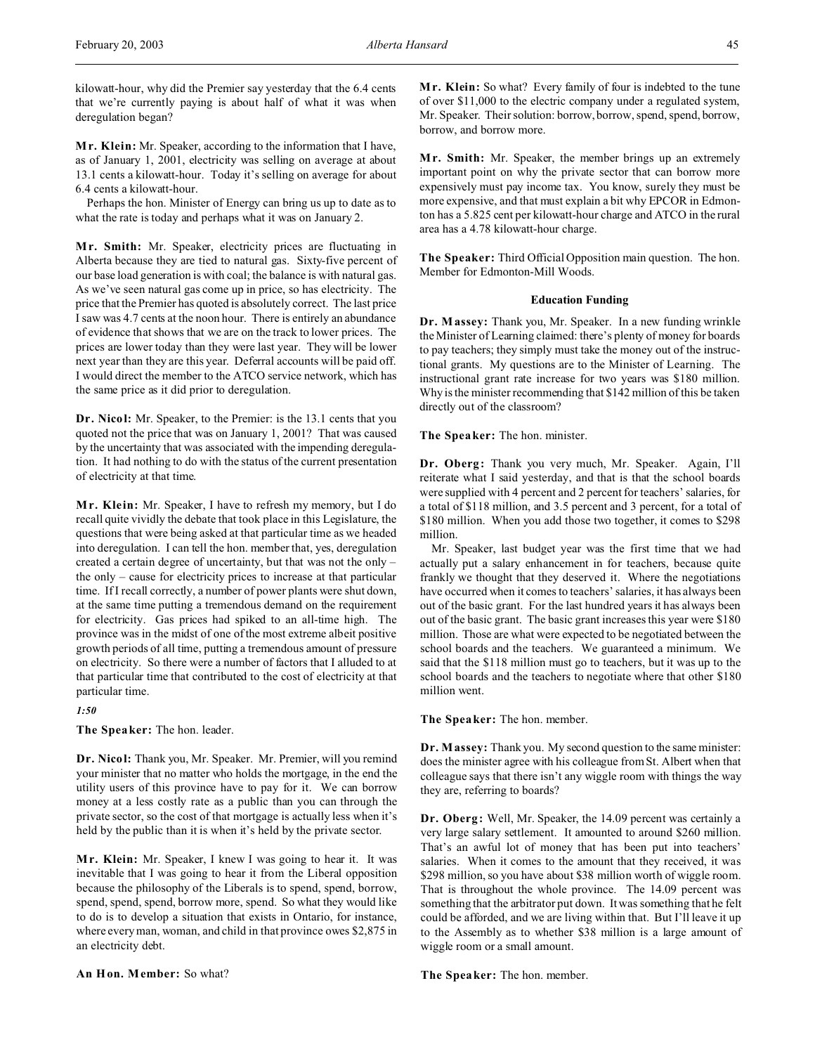kilowatt-hour, why did the Premier say yesterday that the 6.4 cents that we're currently paying is about half of what it was when deregulation began?

**M r. Klein:** Mr. Speaker, according to the information that I have, as of January 1, 2001, electricity was selling on average at about 13.1 cents a kilowatt-hour. Today it's selling on average for about 6.4 cents a kilowatt-hour.

Perhaps the hon. Minister of Energy can bring us up to date as to what the rate is today and perhaps what it was on January 2.

**M r. Smith:** Mr. Speaker, electricity prices are fluctuating in Alberta because they are tied to natural gas. Sixty-five percent of our base load generation is with coal; the balance is with natural gas. As we've seen natural gas come up in price, so has electricity. The price that the Premier has quoted is absolutely correct. The last price I saw was 4.7 cents at the noon hour. There is entirely an abundance of evidence that shows that we are on the track to lower prices. The prices are lower today than they were last year. They will be lower next year than they are this year. Deferral accounts will be paid off. I would direct the member to the ATCO service network, which has the same price as it did prior to deregulation.

**Dr. Nicol:** Mr. Speaker, to the Premier: is the 13.1 cents that you quoted not the price that was on January 1, 2001? That was caused by the uncertainty that was associated with the impending deregulation. It had nothing to do with the status of the current presentation of electricity at that time.

**Mr. Klein:** Mr. Speaker, I have to refresh my memory, but I do recall quite vividly the debate that took place in this Legislature, the questions that were being asked at that particular time as we headed into deregulation. I can tell the hon. member that, yes, deregulation created a certain degree of uncertainty, but that was not the only – the only – cause for electricity prices to increase at that particular time. If I recall correctly, a number of power plants were shut down, at the same time putting a tremendous demand on the requirement for electricity. Gas prices had spiked to an all-time high. The province was in the midst of one of the most extreme albeit positive growth periods of all time, putting a tremendous amount of pressure on electricity. So there were a number of factors that I alluded to at that particular time that contributed to the cost of electricity at that particular time.

*1:50*

**The Speaker:** The hon. leader.

**Dr. Nicol:** Thank you, Mr. Speaker. Mr. Premier, will you remind your minister that no matter who holds the mortgage, in the end the utility users of this province have to pay for it. We can borrow money at a less costly rate as a public than you can through the private sector, so the cost of that mortgage is actually less when it's held by the public than it is when it's held by the private sector.

**M r. Klein:** Mr. Speaker, I knew I was going to hear it. It was inevitable that I was going to hear it from the Liberal opposition because the philosophy of the Liberals is to spend, spend, borrow, spend, spend, spend, borrow more, spend. So what they would like to do is to develop a situation that exists in Ontario, for instance, where every man, woman, and child in that province owes \$2,875 in an electricity debt.

**Mr. Klein:** So what? Every family of four is indebted to the tune of over \$11,000 to the electric company under a regulated system, Mr. Speaker. Their solution: borrow, borrow, spend, spend, borrow, borrow, and borrow more.

Mr. Smith: Mr. Speaker, the member brings up an extremely important point on why the private sector that can borrow more expensively must pay income tax. You know, surely they must be more expensive, and that must explain a bit why EPCOR in Edmonton has a 5.825 cent per kilowatt-hour charge and ATCO in the rural area has a 4.78 kilowatt-hour charge.

**The Speaker:** Third Official Opposition main question. The hon. Member for Edmonton-Mill Woods.

## **Education Funding**

**Dr. Massey:** Thank you, Mr. Speaker. In a new funding wrinkle the Minister of Learning claimed: there's plenty of money for boards to pay teachers; they simply must take the money out of the instructional grants. My questions are to the Minister of Learning. The instructional grant rate increase for two years was \$180 million. Why is the minister recommending that \$142 million of this be taken directly out of the classroom?

**The Speaker:** The hon. minister.

**Dr. Oberg:** Thank you very much, Mr. Speaker. Again, I'll reiterate what I said yesterday, and that is that the school boards were supplied with 4 percent and 2 percent for teachers' salaries, for a total of \$118 million, and 3.5 percent and 3 percent, for a total of \$180 million. When you add those two together, it comes to \$298 million.

Mr. Speaker, last budget year was the first time that we had actually put a salary enhancement in for teachers, because quite frankly we thought that they deserved it. Where the negotiations have occurred when it comes to teachers' salaries, it has always been out of the basic grant. For the last hundred years it has always been out of the basic grant. The basic grant increases this year were \$180 million. Those are what were expected to be negotiated between the school boards and the teachers. We guaranteed a minimum. We said that the \$118 million must go to teachers, but it was up to the school boards and the teachers to negotiate where that other \$180 million went.

**The Speaker:** The hon. member.

**Dr. Massey:** Thank you. My second question to the same minister: does the minister agree with his colleague from St. Albert when that colleague says that there isn't any wiggle room with things the way they are, referring to boards?

**Dr. Oberg:** Well, Mr. Speaker, the 14.09 percent was certainly a very large salary settlement. It amounted to around \$260 million. That's an awful lot of money that has been put into teachers' salaries. When it comes to the amount that they received, it was \$298 million, so you have about \$38 million worth of wiggle room. That is throughout the whole province. The 14.09 percent was something that the arbitrator put down. It was something that he felt could be afforded, and we are living within that. But I'll leave it up to the Assembly as to whether \$38 million is a large amount of wiggle room or a small amount.

**The Speaker:** The hon. member.

**An Hon. Member:** So what?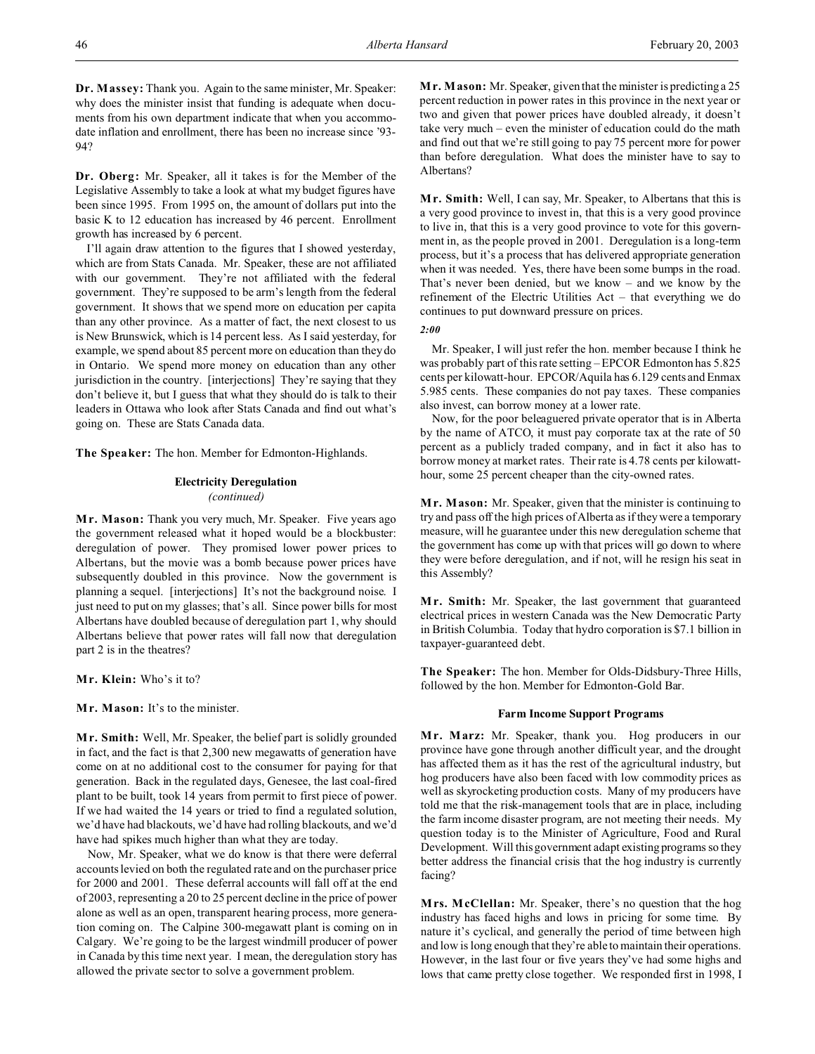**Dr. Massey:** Thank you. Again to the same minister, Mr. Speaker: why does the minister insist that funding is adequate when documents from his own department indicate that when you accommodate inflation and enrollment, there has been no increase since '93- 94?

**Dr. Oberg:** Mr. Speaker, all it takes is for the Member of the Legislative Assembly to take a look at what my budget figures have been since 1995. From 1995 on, the amount of dollars put into the basic K to 12 education has increased by 46 percent. Enrollment growth has increased by 6 percent.

I'll again draw attention to the figures that I showed yesterday, which are from Stats Canada. Mr. Speaker, these are not affiliated with our government. They're not affiliated with the federal government. They're supposed to be arm's length from the federal government. It shows that we spend more on education per capita than any other province. As a matter of fact, the next closest to us is New Brunswick, which is 14 percent less. As I said yesterday, for example, we spend about 85 percent more on education than they do in Ontario. We spend more money on education than any other jurisdiction in the country. [interjections] They're saying that they don't believe it, but I guess that what they should do is talk to their leaders in Ottawa who look after Stats Canada and find out what's going on. These are Stats Canada data.

**The Speaker:** The hon. Member for Edmonton-Highlands.

# **Electricity Deregulation** *(continued)*

**Mr. Mason:** Thank you very much, Mr. Speaker. Five years ago the government released what it hoped would be a blockbuster: deregulation of power. They promised lower power prices to Albertans, but the movie was a bomb because power prices have subsequently doubled in this province. Now the government is planning a sequel. [interjections] It's not the background noise. I just need to put on my glasses; that's all. Since power bills for most Albertans have doubled because of deregulation part 1, why should Albertans believe that power rates will fall now that deregulation part 2 is in the theatres?

**Mr. Klein:** Who's it to?

**Mr. Mason:** It's to the minister.

**M r. Smith:** Well, Mr. Speaker, the belief part is solidly grounded in fact, and the fact is that 2,300 new megawatts of generation have come on at no additional cost to the consumer for paying for that generation. Back in the regulated days, Genesee, the last coal-fired plant to be built, took 14 years from permit to first piece of power. If we had waited the 14 years or tried to find a regulated solution, we'd have had blackouts, we'd have had rolling blackouts, and we'd have had spikes much higher than what they are today.

Now, Mr. Speaker, what we do know is that there were deferral accounts levied on both the regulated rate and on the purchaser price for 2000 and 2001. These deferral accounts will fall off at the end of 2003, representing a 20 to 25 percent decline in the price of power alone as well as an open, transparent hearing process, more generation coming on. The Calpine 300-megawatt plant is coming on in Calgary. We're going to be the largest windmill producer of power in Canada by this time next year. I mean, the deregulation story has allowed the private sector to solve a government problem.

**M r. Mason:** Mr. Speaker, given that the minister is predicting a 25 percent reduction in power rates in this province in the next year or two and given that power prices have doubled already, it doesn't take very much – even the minister of education could do the math and find out that we're still going to pay 75 percent more for power than before deregulation. What does the minister have to say to Albertans?

**Mr. Smith:** Well, I can say, Mr. Speaker, to Albertans that this is a very good province to invest in, that this is a very good province to live in, that this is a very good province to vote for this government in, as the people proved in 2001. Deregulation is a long-term process, but it's a process that has delivered appropriate generation when it was needed. Yes, there have been some bumps in the road. That's never been denied, but we know – and we know by the refinement of the Electric Utilities Act – that everything we do continues to put downward pressure on prices.

*2:00*

Mr. Speaker, I will just refer the hon. member because I think he was probably part of this rate setting – EPCOR Edmonton has 5.825 cents per kilowatt-hour. EPCOR/Aquila has 6.129 cents and Enmax 5.985 cents. These companies do not pay taxes. These companies also invest, can borrow money at a lower rate.

Now, for the poor beleaguered private operator that is in Alberta by the name of ATCO, it must pay corporate tax at the rate of 50 percent as a publicly traded company, and in fact it also has to borrow money at market rates. Their rate is 4.78 cents per kilowatthour, some 25 percent cheaper than the city-owned rates.

**M r. Mason:** Mr. Speaker, given that the minister is continuing to try and pass off the high prices of Alberta as if they were a temporary measure, will he guarantee under this new deregulation scheme that the government has come up with that prices will go down to where they were before deregulation, and if not, will he resign his seat in this Assembly?

**M r. Smith:** Mr. Speaker, the last government that guaranteed electrical prices in western Canada was the New Democratic Party in British Columbia. Today that hydro corporation is \$7.1 billion in taxpayer-guaranteed debt.

**The Speaker:** The hon. Member for Olds-Didsbury-Three Hills, followed by the hon. Member for Edmonton-Gold Bar.

## **Farm Income Support Programs**

**M r. Marz:** Mr. Speaker, thank you. Hog producers in our province have gone through another difficult year, and the drought has affected them as it has the rest of the agricultural industry, but hog producers have also been faced with low commodity prices as well as skyrocketing production costs. Many of my producers have told me that the risk-management tools that are in place, including the farm income disaster program, are not meeting their needs. My question today is to the Minister of Agriculture, Food and Rural Development. Will this government adapt existing programs so they better address the financial crisis that the hog industry is currently facing?

**Mrs. McClellan:** Mr. Speaker, there's no question that the hog industry has faced highs and lows in pricing for some time. By nature it's cyclical, and generally the period of time between high and low is long enough that they're able to maintain their operations. However, in the last four or five years they've had some highs and lows that came pretty close together. We responded first in 1998, I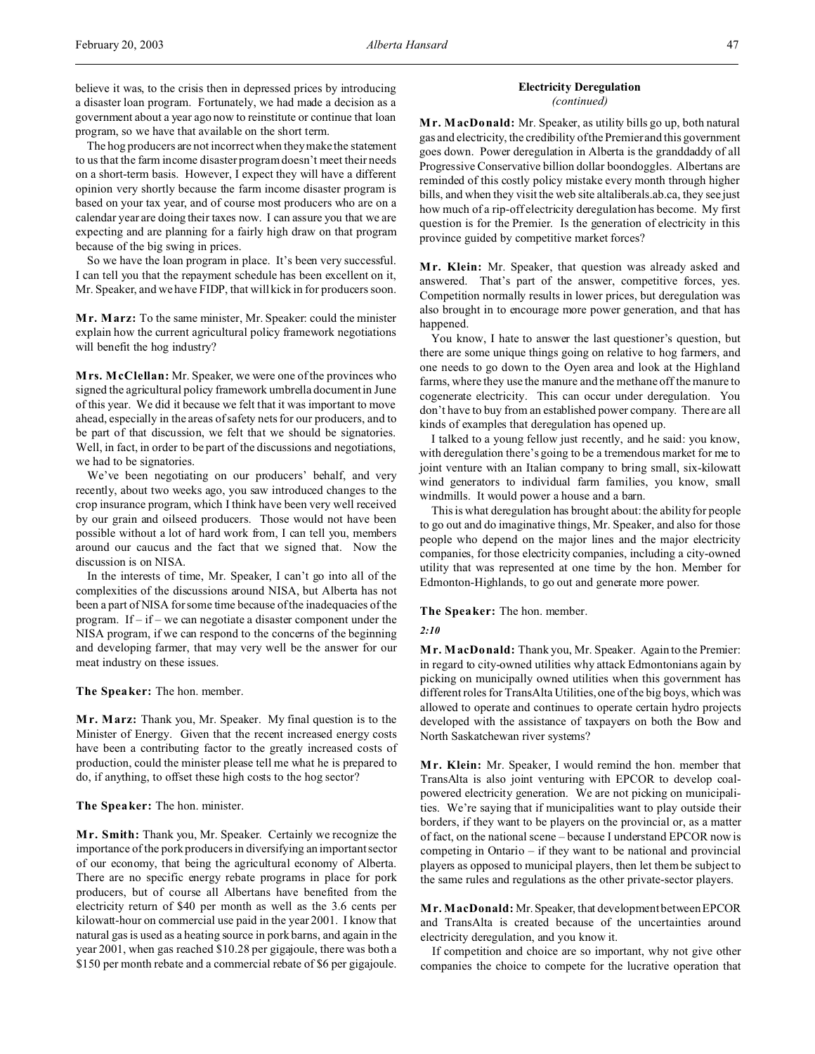The hog producers are not incorrect when they make the statement to us that the farm income disaster program doesn't meet their needs on a short-term basis. However, I expect they will have a different opinion very shortly because the farm income disaster program is based on your tax year, and of course most producers who are on a calendar year are doing their taxes now. I can assure you that we are expecting and are planning for a fairly high draw on that program because of the big swing in prices.

So we have the loan program in place. It's been very successful. I can tell you that the repayment schedule has been excellent on it, Mr. Speaker, and we have FIDP, that will kick in for producers soon.

**M r. Marz:** To the same minister, Mr. Speaker: could the minister explain how the current agricultural policy framework negotiations will benefit the hog industry?

**Mrs. McClellan:** Mr. Speaker, we were one of the provinces who signed the agricultural policy framework umbrella document in June of this year. We did it because we felt that it was important to move ahead, especially in the areas of safety nets for our producers, and to be part of that discussion, we felt that we should be signatories. Well, in fact, in order to be part of the discussions and negotiations, we had to be signatories.

We've been negotiating on our producers' behalf, and very recently, about two weeks ago, you saw introduced changes to the crop insurance program, which I think have been very well received by our grain and oilseed producers. Those would not have been possible without a lot of hard work from, I can tell you, members around our caucus and the fact that we signed that. Now the discussion is on NISA.

In the interests of time, Mr. Speaker, I can't go into all of the complexities of the discussions around NISA, but Alberta has not been a part of NISA for some time because of the inadequacies of the program. If – if – we can negotiate a disaster component under the NISA program, if we can respond to the concerns of the beginning and developing farmer, that may very well be the answer for our meat industry on these issues.

**The Speaker:** The hon. member.

**Mr. Marz:** Thank you, Mr. Speaker. My final question is to the Minister of Energy. Given that the recent increased energy costs have been a contributing factor to the greatly increased costs of production, could the minister please tell me what he is prepared to do, if anything, to offset these high costs to the hog sector?

**The Speaker:** The hon. minister.

**Mr. Smith:** Thank you, Mr. Speaker. Certainly we recognize the importance of the pork producers in diversifying an important sector of our economy, that being the agricultural economy of Alberta. There are no specific energy rebate programs in place for pork producers, but of course all Albertans have benefited from the electricity return of \$40 per month as well as the 3.6 cents per kilowatt-hour on commercial use paid in the year 2001. I know that natural gas is used as a heating source in pork barns, and again in the year 2001, when gas reached \$10.28 per gigajoule, there was both a \$150 per month rebate and a commercial rebate of \$6 per gigajoule.

## **Electricity Deregulation** *(continued)*

**M r. MacDonald:** Mr. Speaker, as utility bills go up, both natural gas and electricity, the credibility of the Premier and this government goes down. Power deregulation in Alberta is the granddaddy of all Progressive Conservative billion dollar boondoggles. Albertans are reminded of this costly policy mistake every month through higher bills, and when they visit the web site altaliberals.ab.ca, they see just how much of a rip-off electricity deregulation has become. My first question is for the Premier. Is the generation of electricity in this province guided by competitive market forces?

**M r. Klein:** Mr. Speaker, that question was already asked and answered. That's part of the answer, competitive forces, yes. Competition normally results in lower prices, but deregulation was also brought in to encourage more power generation, and that has happened.

You know, I hate to answer the last questioner's question, but there are some unique things going on relative to hog farmers, and one needs to go down to the Oyen area and look at the Highland farms, where they use the manure and the methane off the manure to cogenerate electricity. This can occur under deregulation. You don't have to buy from an established power company. There are all kinds of examples that deregulation has opened up.

I talked to a young fellow just recently, and he said: you know, with deregulation there's going to be a tremendous market for me to joint venture with an Italian company to bring small, six-kilowatt wind generators to individual farm families, you know, small windmills. It would power a house and a barn.

This is what deregulation has brought about: the ability for people to go out and do imaginative things, Mr. Speaker, and also for those people who depend on the major lines and the major electricity companies, for those electricity companies, including a city-owned utility that was represented at one time by the hon. Member for Edmonton-Highlands, to go out and generate more power.

**The Speaker:** The hon. member.

## *2:10*

**M r. MacDonald:** Thank you, Mr. Speaker. Again to the Premier: in regard to city-owned utilities why attack Edmontonians again by picking on municipally owned utilities when this government has different roles for TransAlta Utilities, one of the big boys, which was allowed to operate and continues to operate certain hydro projects developed with the assistance of taxpayers on both the Bow and North Saskatchewan river systems?

**M r. Klein:** Mr. Speaker, I would remind the hon. member that TransAlta is also joint venturing with EPCOR to develop coalpowered electricity generation. We are not picking on municipalities. We're saying that if municipalities want to play outside their borders, if they want to be players on the provincial or, as a matter of fact, on the national scene – because I understand EPCOR now is competing in Ontario – if they want to be national and provincial players as opposed to municipal players, then let them be subject to the same rules and regulations as the other private-sector players.

**Mr. MacDonald:** Mr.Speaker, that development between EPCOR and TransAlta is created because of the uncertainties around electricity deregulation, and you know it.

If competition and choice are so important, why not give other companies the choice to compete for the lucrative operation that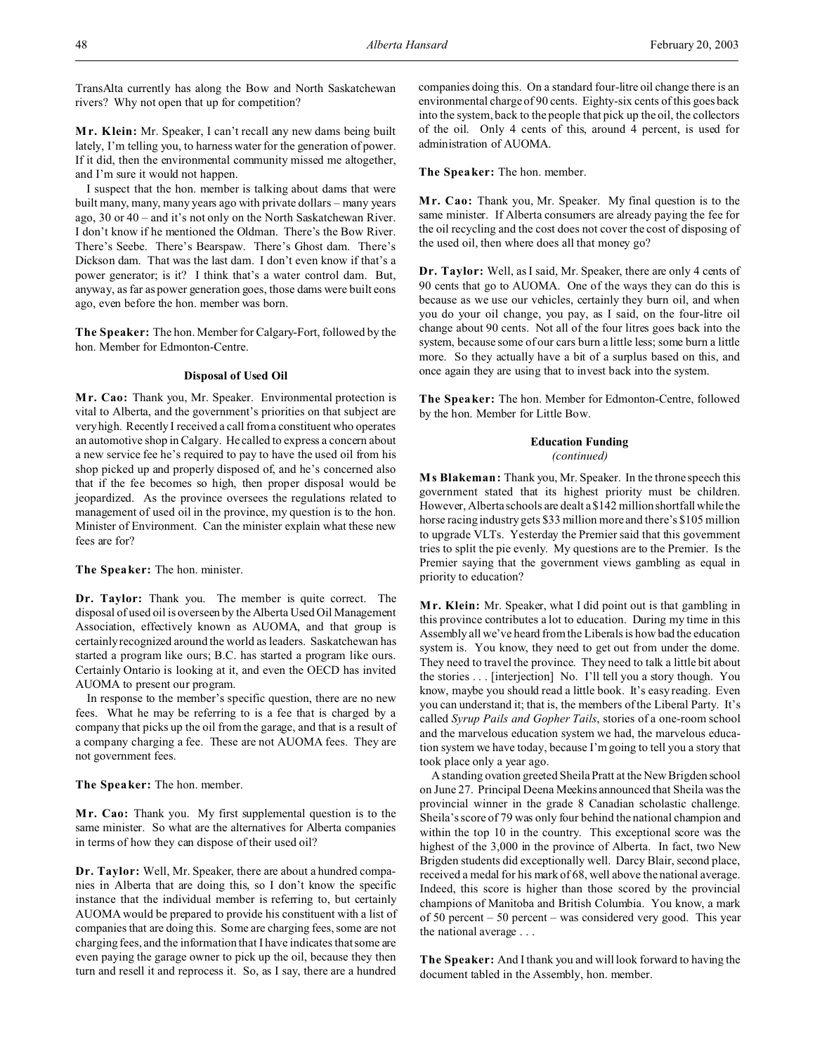TransAlta currently has along the Bow and North Saskatchewan rivers? Why not open that up for competition?

**M r. Klein:** Mr. Speaker, I can't recall any new dams being built lately, I'm telling you, to harness water for the generation of power. If it did, then the environmental community missed me altogether, and I'm sure it would not happen.

I suspect that the hon. member is talking about dams that were built many, many, many years ago with private dollars – many years ago, 30 or 40 – and it's not only on the North Saskatchewan River. I don't know if he mentioned the Oldman. There's the Bow River. There's Seebe. There's Bearspaw. There's Ghost dam. There's Dickson dam. That was the last dam. I don't even know if that's a power generator; is it? I think that's a water control dam. But, anyway, as far as power generation goes, those dams were built eons ago, even before the hon. member was born.

**The Speaker:** The hon. Member for Calgary-Fort, followed by the hon. Member for Edmonton-Centre.

#### **Disposal of Used Oil**

**M r. Cao:** Thank you, Mr. Speaker. Environmental protection is vital to Alberta, and the government's priorities on that subject are very high. Recently I received a call from a constituent who operates an automotive shop in Calgary. He called to express a concern about a new service fee he's required to pay to have the used oil from his shop picked up and properly disposed of, and he's concerned also that if the fee becomes so high, then proper disposal would be jeopardized. As the province oversees the regulations related to management of used oil in the province, my question is to the hon. Minister of Environment. Can the minister explain what these new fees are for?

**The Speaker:** The hon. minister.

**Dr. Taylor:** Thank you. The member is quite correct. The disposal of used oil is overseen by the Alberta Used Oil Management Association, effectively known as AUOMA, and that group is certainly recognized around the world as leaders. Saskatchewan has started a program like ours; B.C. has started a program like ours. Certainly Ontario is looking at it, and even the OECD has invited AUOMA to present our program.

In response to the member's specific question, there are no new fees. What he may be referring to is a fee that is charged by a company that picks up the oil from the garage, and that is a result of a company charging a fee. These are not AUOMA fees. They are not government fees.

**The Speaker:** The hon. member.

**M r. Cao:** Thank you. My first supplemental question is to the same minister. So what are the alternatives for Alberta companies in terms of how they can dispose of their used oil?

**Dr. Taylor:** Well, Mr. Speaker, there are about a hundred companies in Alberta that are doing this, so I don't know the specific instance that the individual member is referring to, but certainly AUOMA would be prepared to provide his constituent with a list of companies that are doing this. Some are charging fees, some are not charging fees, and the information that I have indicates that some are even paying the garage owner to pick up the oil, because they then turn and resell it and reprocess it. So, as I say, there are a hundred

companies doing this. On a standard four-litre oil change there is an environmental charge of 90 cents. Eighty-six cents of this goes back into the system, back to the people that pick up the oil, the collectors of the oil. Only 4 cents of this, around 4 percent, is used for administration of AUOMA.

**The Speaker:** The hon. member.

**M r. Cao:** Thank you, Mr. Speaker. My final question is to the same minister. If Alberta consumers are already paying the fee for the oil recycling and the cost does not cover the cost of disposing of the used oil, then where does all that money go?

**Dr. Taylor:** Well, as I said, Mr. Speaker, there are only 4 cents of 90 cents that go to AUOMA. One of the ways they can do this is because as we use our vehicles, certainly they burn oil, and when you do your oil change, you pay, as I said, on the four-litre oil change about 90 cents. Not all of the four litres goes back into the system, because some of our cars burn a little less; some burn a little more. So they actually have a bit of a surplus based on this, and once again they are using that to invest back into the system.

**The Speaker:** The hon. Member for Edmonton-Centre, followed by the hon. Member for Little Bow.

## **Education Funding** *(continued)*

**M s Blakeman:** Thank you, Mr. Speaker. In the throne speech this government stated that its highest priority must be children. However, Alberta schools are dealt a \$142 million shortfall while the horse racing industry gets \$33 million more and there's \$105 million to upgrade VLTs. Yesterday the Premier said that this government tries to split the pie evenly. My questions are to the Premier. Is the Premier saying that the government views gambling as equal in priority to education?

**M r. Klein:** Mr. Speaker, what I did point out is that gambling in this province contributes a lot to education. During my time in this Assembly all we've heard from the Liberals is how bad the education system is. You know, they need to get out from under the dome. They need to travel the province. They need to talk a little bit about the stories . . . [interjection] No. I'll tell you a story though. You know, maybe you should read a little book. It's easy reading. Even you can understand it; that is, the members of the Liberal Party. It's called *Syrup Pails and Gopher Tails*, stories of a one-room school and the marvelous education system we had, the marvelous education system we have today, because I'm going to tell you a story that took place only a year ago.

A standing ovation greeted Sheila Pratt at the New Brigden school on June 27. Principal Deena Meekins announced that Sheila was the provincial winner in the grade 8 Canadian scholastic challenge. Sheila's score of 79 was only four behind the national champion and within the top 10 in the country. This exceptional score was the highest of the 3,000 in the province of Alberta. In fact, two New Brigden students did exceptionally well. Darcy Blair, second place, received a medal for his mark of 68, well above the national average. Indeed, this score is higher than those scored by the provincial champions of Manitoba and British Columbia. You know, a mark of 50 percent – 50 percent – was considered very good. This year the national average . . .

**The Speaker:** And I thank you and will look forward to having the document tabled in the Assembly, hon. member.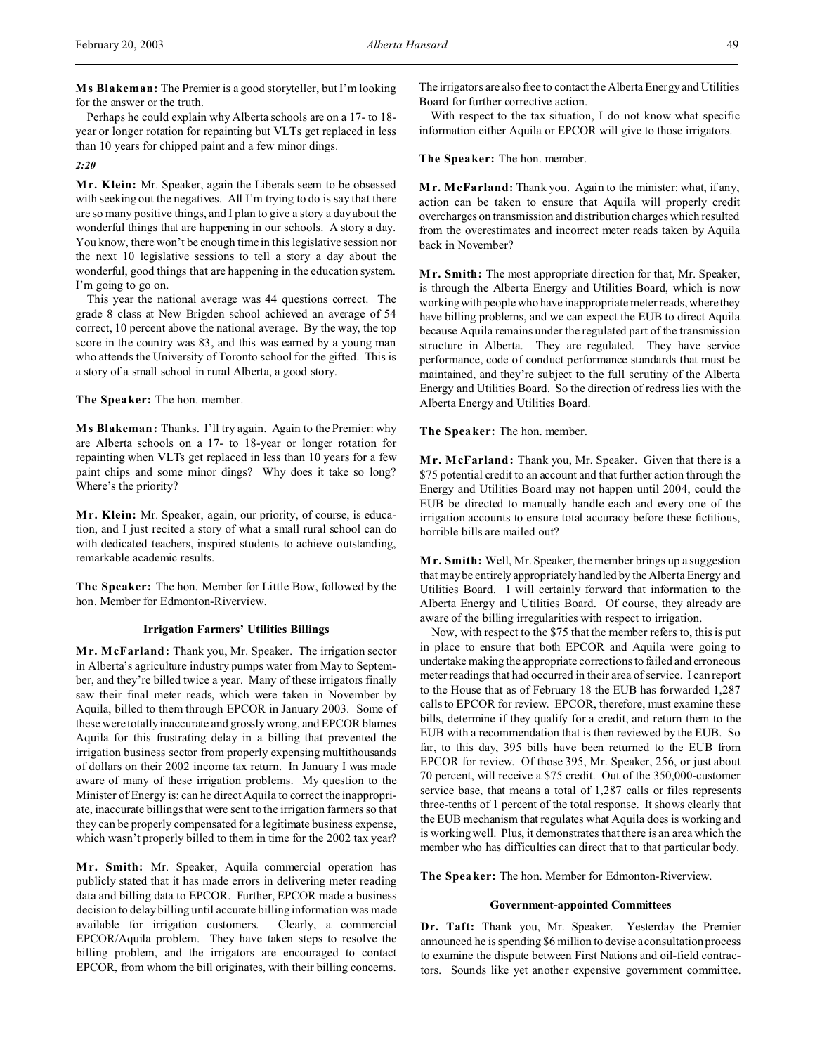**M s Blakeman:** The Premier is a good storyteller, but I'm looking for the answer or the truth.

Perhaps he could explain why Alberta schools are on a 17- to 18 year or longer rotation for repainting but VLTs get replaced in less than 10 years for chipped paint and a few minor dings.

#### *2:20*

**M r. Klein:** Mr. Speaker, again the Liberals seem to be obsessed with seeking out the negatives. All I'm trying to do is say that there are so many positive things, and I plan to give a story a day about the wonderful things that are happening in our schools. A story a day. You know, there won't be enough time in this legislative session nor the next 10 legislative sessions to tell a story a day about the wonderful, good things that are happening in the education system. I'm going to go on.

This year the national average was 44 questions correct. The grade 8 class at New Brigden school achieved an average of 54 correct, 10 percent above the national average. By the way, the top score in the country was 83, and this was earned by a young man who attends the University of Toronto school for the gifted. This is a story of a small school in rural Alberta, a good story.

## **The Speaker:** The hon. member.

**M s Blakeman:** Thanks. I'll try again. Again to the Premier: why are Alberta schools on a 17- to 18-year or longer rotation for repainting when VLTs get replaced in less than 10 years for a few paint chips and some minor dings? Why does it take so long? Where's the priority?

**M r. Klein:** Mr. Speaker, again, our priority, of course, is education, and I just recited a story of what a small rural school can do with dedicated teachers, inspired students to achieve outstanding, remarkable academic results.

**The Speaker:** The hon. Member for Little Bow, followed by the hon. Member for Edmonton-Riverview.

## **Irrigation Farmers' Utilities Billings**

**M r. McFarland:** Thank you, Mr. Speaker. The irrigation sector in Alberta's agriculture industry pumps water from May to September, and they're billed twice a year. Many of these irrigators finally saw their final meter reads, which were taken in November by Aquila, billed to them through EPCOR in January 2003. Some of these were totally inaccurate and grossly wrong, and EPCOR blames Aquila for this frustrating delay in a billing that prevented the irrigation business sector from properly expensing multithousands of dollars on their 2002 income tax return. In January I was made aware of many of these irrigation problems. My question to the Minister of Energy is: can he direct Aquila to correct the inappropriate, inaccurate billings that were sent to the irrigation farmers so that they can be properly compensated for a legitimate business expense, which wasn't properly billed to them in time for the 2002 tax year?

**M r. Smith:** Mr. Speaker, Aquila commercial operation has publicly stated that it has made errors in delivering meter reading data and billing data to EPCOR. Further, EPCOR made a business decision to delay billing until accurate billing information was made available for irrigation customers. Clearly, a commercial EPCOR/Aquila problem. They have taken steps to resolve the billing problem, and the irrigators are encouraged to contact EPCOR, from whom the bill originates, with their billing concerns.

The irrigators are also free to contact the Alberta Energy and Utilities Board for further corrective action.

With respect to the tax situation, I do not know what specific information either Aquila or EPCOR will give to those irrigators.

### **The Speaker:** The hon. member.

**M r. McFarland:** Thank you. Again to the minister: what, if any, action can be taken to ensure that Aquila will properly credit overcharges on transmission and distribution charges which resulted from the overestimates and incorrect meter reads taken by Aquila back in November?

**M r. Smith:** The most appropriate direction for that, Mr. Speaker, is through the Alberta Energy and Utilities Board, which is now working with people who have inappropriate meter reads, where they have billing problems, and we can expect the EUB to direct Aquila because Aquila remains under the regulated part of the transmission structure in Alberta. They are regulated. They have service performance, code of conduct performance standards that must be maintained, and they're subject to the full scrutiny of the Alberta Energy and Utilities Board. So the direction of redress lies with the Alberta Energy and Utilities Board.

**The Speaker:** The hon. member.

**Mr. McFarland:** Thank you, Mr. Speaker. Given that there is a \$75 potential credit to an account and that further action through the Energy and Utilities Board may not happen until 2004, could the EUB be directed to manually handle each and every one of the irrigation accounts to ensure total accuracy before these fictitious, horrible bills are mailed out?

**M r. Smith:** Well, Mr. Speaker, the member brings up a suggestion that may be entirely appropriately handled by the Alberta Energy and Utilities Board. I will certainly forward that information to the Alberta Energy and Utilities Board. Of course, they already are aware of the billing irregularities with respect to irrigation.

Now, with respect to the \$75 that the member refers to, this is put in place to ensure that both EPCOR and Aquila were going to undertake making the appropriate corrections to failed and erroneous meter readings that had occurred in their area of service. I can report to the House that as of February 18 the EUB has forwarded 1,287 calls to EPCOR for review. EPCOR, therefore, must examine these bills, determine if they qualify for a credit, and return them to the EUB with a recommendation that is then reviewed by the EUB. So far, to this day, 395 bills have been returned to the EUB from EPCOR for review. Of those 395, Mr. Speaker, 256, or just about 70 percent, will receive a \$75 credit. Out of the 350,000-customer service base, that means a total of 1,287 calls or files represents three-tenths of 1 percent of the total response. It shows clearly that the EUB mechanism that regulates what Aquila does is working and is working well. Plus, it demonstrates that there is an area which the member who has difficulties can direct that to that particular body.

**The Speaker:** The hon. Member for Edmonton-Riverview.

## **Government-appointed Committees**

**Dr. Taft:** Thank you, Mr. Speaker. Yesterday the Premier announced he is spending \$6 million to devise a consultation process to examine the dispute between First Nations and oil-field contractors. Sounds like yet another expensive government committee.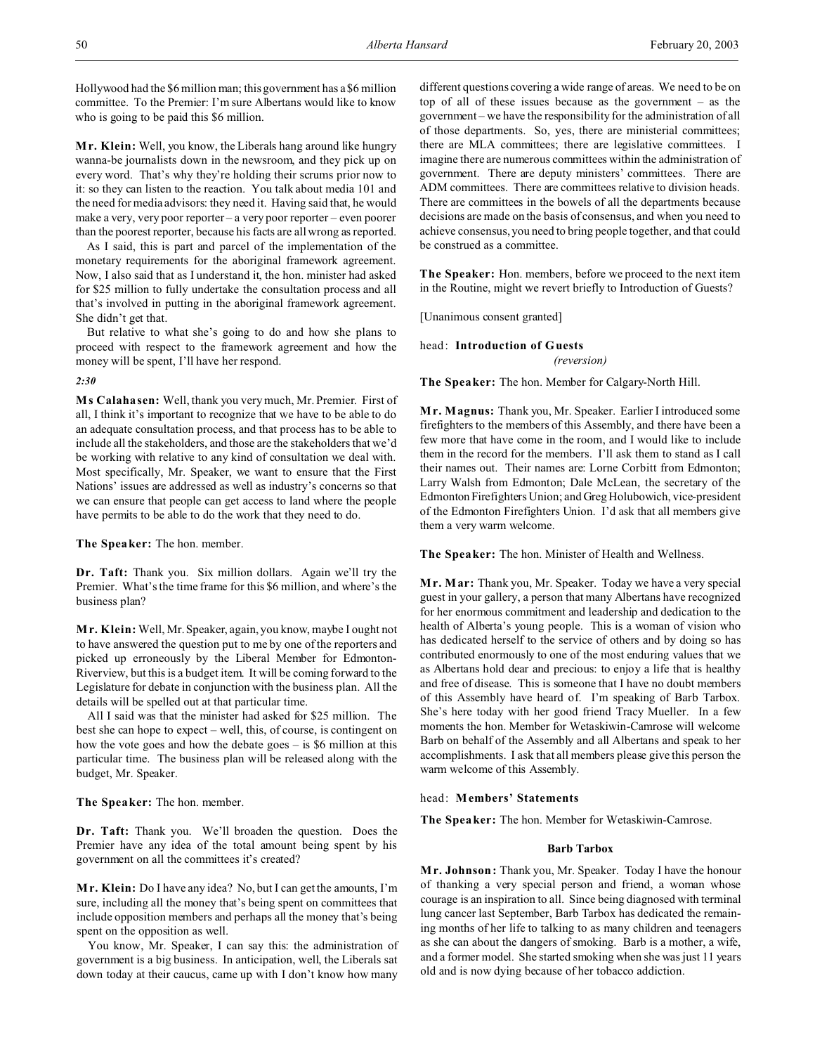Hollywood had the \$6 million man; this government has a \$6 million committee. To the Premier: I'm sure Albertans would like to know who is going to be paid this \$6 million.

**M r. Klein:** Well, you know, the Liberals hang around like hungry wanna-be journalists down in the newsroom, and they pick up on every word. That's why they're holding their scrums prior now to it: so they can listen to the reaction. You talk about media 101 and the need for media advisors: they need it. Having said that, he would make a very, very poor reporter – a very poor reporter – even poorer than the poorest reporter, because his facts are all wrong as reported.

As I said, this is part and parcel of the implementation of the monetary requirements for the aboriginal framework agreement. Now, I also said that as I understand it, the hon. minister had asked for \$25 million to fully undertake the consultation process and all that's involved in putting in the aboriginal framework agreement. She didn't get that.

But relative to what she's going to do and how she plans to proceed with respect to the framework agreement and how the money will be spent, I'll have her respond.

#### *2:30*

**M s Calahasen:** Well, thank you very much, Mr. Premier. First of all, I think it's important to recognize that we have to be able to do an adequate consultation process, and that process has to be able to include all the stakeholders, and those are the stakeholders that we'd be working with relative to any kind of consultation we deal with. Most specifically, Mr. Speaker, we want to ensure that the First Nations' issues are addressed as well as industry's concerns so that we can ensure that people can get access to land where the people have permits to be able to do the work that they need to do.

**The Speaker:** The hon. member.

**Dr. Taft:** Thank you. Six million dollars. Again we'll try the Premier. What's the time frame for this \$6 million, and where's the business plan?

**M r. Klein:** Well, Mr. Speaker, again, you know, maybe I ought not to have answered the question put to me by one of the reporters and picked up erroneously by the Liberal Member for Edmonton-Riverview, but this is a budget item. It will be coming forward to the Legislature for debate in conjunction with the business plan. All the details will be spelled out at that particular time.

All I said was that the minister had asked for \$25 million. The best she can hope to expect – well, this, of course, is contingent on how the vote goes and how the debate goes – is \$6 million at this particular time. The business plan will be released along with the budget, Mr. Speaker.

**The Speaker:** The hon. member.

**Dr. Taft:** Thank you. We'll broaden the question. Does the Premier have any idea of the total amount being spent by his government on all the committees it's created?

**M r. Klein:** Do I have any idea? No, but I can get the amounts, I'm sure, including all the money that's being spent on committees that include opposition members and perhaps all the money that's being spent on the opposition as well.

You know, Mr. Speaker, I can say this: the administration of government is a big business. In anticipation, well, the Liberals sat down today at their caucus, came up with I don't know how many different questions covering a wide range of areas. We need to be on top of all of these issues because as the government – as the government – we have the responsibility for the administration of all of those departments. So, yes, there are ministerial committees; there are MLA committees; there are legislative committees. I imagine there are numerous committees within the administration of government. There are deputy ministers' committees. There are ADM committees. There are committees relative to division heads. There are committees in the bowels of all the departments because decisions are made on the basis of consensus, and when you need to achieve consensus, you need to bring people together, and that could be construed as a committee.

**The Speaker:** Hon. members, before we proceed to the next item in the Routine, might we revert briefly to Introduction of Guests?

[Unanimous consent granted]

# head: **Introduction of Guests** *(reversion)*

**The Speaker:** The hon. Member for Calgary-North Hill.

**M r. Magnus:** Thank you, Mr. Speaker. Earlier I introduced some firefighters to the members of this Assembly, and there have been a few more that have come in the room, and I would like to include them in the record for the members. I'll ask them to stand as I call their names out. Their names are: Lorne Corbitt from Edmonton; Larry Walsh from Edmonton; Dale McLean, the secretary of the Edmonton Firefighters Union; and Greg Holubowich, vice-president of the Edmonton Firefighters Union. I'd ask that all members give them a very warm welcome.

**The Speaker:** The hon. Minister of Health and Wellness.

**M r. Mar:** Thank you, Mr. Speaker. Today we have a very special guest in your gallery, a person that many Albertans have recognized for her enormous commitment and leadership and dedication to the health of Alberta's young people. This is a woman of vision who has dedicated herself to the service of others and by doing so has contributed enormously to one of the most enduring values that we as Albertans hold dear and precious: to enjoy a life that is healthy and free of disease. This is someone that I have no doubt members of this Assembly have heard of. I'm speaking of Barb Tarbox. She's here today with her good friend Tracy Mueller. In a few moments the hon. Member for Wetaskiwin-Camrose will welcome Barb on behalf of the Assembly and all Albertans and speak to her accomplishments. I ask that all members please give this person the warm welcome of this Assembly.

# head: **Members' Statements**

**The Speaker:** The hon. Member for Wetaskiwin-Camrose.

# **Barb Tarbox**

**M r. Johnson:** Thank you, Mr. Speaker. Today I have the honour of thanking a very special person and friend, a woman whose courage is an inspiration to all. Since being diagnosed with terminal lung cancer last September, Barb Tarbox has dedicated the remaining months of her life to talking to as many children and teenagers as she can about the dangers of smoking. Barb is a mother, a wife, and a former model. She started smoking when she was just 11 years old and is now dying because of her tobacco addiction.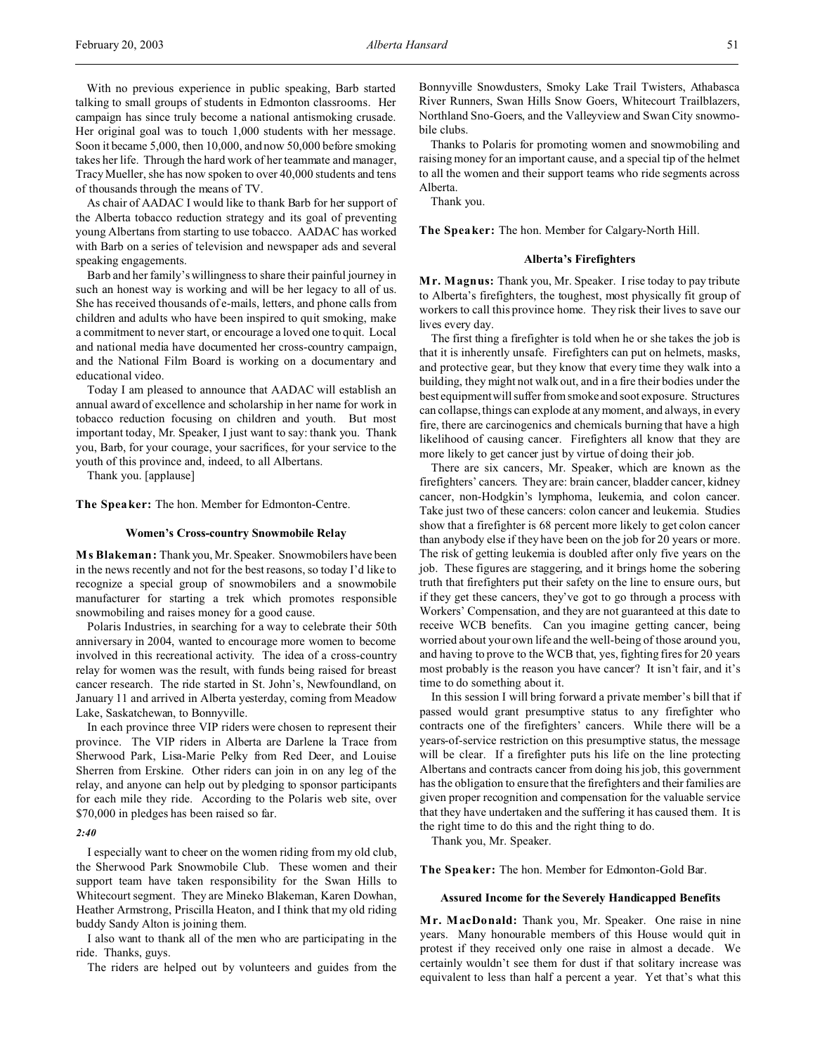With no previous experience in public speaking, Barb started talking to small groups of students in Edmonton classrooms. Her campaign has since truly become a national antismoking crusade. Her original goal was to touch 1,000 students with her message. Soon it became 5,000, then 10,000, and now 50,000 before smoking takes her life. Through the hard work of her teammate and manager, Tracy Mueller, she has now spoken to over 40,000 students and tens of thousands through the means of TV.

As chair of AADAC I would like to thank Barb for her support of the Alberta tobacco reduction strategy and its goal of preventing young Albertans from starting to use tobacco. AADAC has worked with Barb on a series of television and newspaper ads and several speaking engagements.

Barb and her family's willingness to share their painful journey in such an honest way is working and will be her legacy to all of us. She has received thousands of e-mails, letters, and phone calls from children and adults who have been inspired to quit smoking, make a commitment to never start, or encourage a loved one to quit. Local and national media have documented her cross-country campaign, and the National Film Board is working on a documentary and educational video.

Today I am pleased to announce that AADAC will establish an annual award of excellence and scholarship in her name for work in tobacco reduction focusing on children and youth. But most important today, Mr. Speaker, I just want to say: thank you. Thank you, Barb, for your courage, your sacrifices, for your service to the youth of this province and, indeed, to all Albertans.

Thank you. [applause]

**The Speaker:** The hon. Member for Edmonton-Centre.

#### **Women's Cross-country Snowmobile Relay**

**M s Blakeman:** Thank you, Mr.Speaker. Snowmobilers have been in the news recently and not for the best reasons, so today I'd like to recognize a special group of snowmobilers and a snowmobile manufacturer for starting a trek which promotes responsible snowmobiling and raises money for a good cause.

Polaris Industries, in searching for a way to celebrate their 50th anniversary in 2004, wanted to encourage more women to become involved in this recreational activity. The idea of a cross-country relay for women was the result, with funds being raised for breast cancer research. The ride started in St. John's, Newfoundland, on January 11 and arrived in Alberta yesterday, coming from Meadow Lake, Saskatchewan, to Bonnyville.

In each province three VIP riders were chosen to represent their province. The VIP riders in Alberta are Darlene la Trace from Sherwood Park, Lisa-Marie Pelky from Red Deer, and Louise Sherren from Erskine. Other riders can join in on any leg of the relay, and anyone can help out by pledging to sponsor participants for each mile they ride. According to the Polaris web site, over \$70,000 in pledges has been raised so far.

#### *2:40*

I especially want to cheer on the women riding from my old club, the Sherwood Park Snowmobile Club. These women and their support team have taken responsibility for the Swan Hills to Whitecourt segment. They are Mineko Blakeman, Karen Dowhan, Heather Armstrong, Priscilla Heaton, and I think that my old riding buddy Sandy Alton is joining them.

I also want to thank all of the men who are participating in the ride. Thanks, guys.

The riders are helped out by volunteers and guides from the

Bonnyville Snowdusters, Smoky Lake Trail Twisters, Athabasca River Runners, Swan Hills Snow Goers, Whitecourt Trailblazers, Northland Sno-Goers, and the Valleyview and Swan City snowmobile clubs.

Thanks to Polaris for promoting women and snowmobiling and raising money for an important cause, and a special tip of the helmet to all the women and their support teams who ride segments across Alberta.

Thank you.

**The Speaker:** The hon. Member for Calgary-North Hill.

#### **Alberta's Firefighters**

**M r. Magnus:** Thank you, Mr. Speaker. I rise today to pay tribute to Alberta's firefighters, the toughest, most physically fit group of workers to call this province home. They risk their lives to save our lives every day.

The first thing a firefighter is told when he or she takes the job is that it is inherently unsafe. Firefighters can put on helmets, masks, and protective gear, but they know that every time they walk into a building, they might not walk out, and in a fire their bodies under the best equipment will suffer from smoke and soot exposure. Structures can collapse, things can explode at any moment, and always, in every fire, there are carcinogenics and chemicals burning that have a high likelihood of causing cancer. Firefighters all know that they are more likely to get cancer just by virtue of doing their job.

There are six cancers, Mr. Speaker, which are known as the firefighters' cancers. They are: brain cancer, bladder cancer, kidney cancer, non-Hodgkin's lymphoma, leukemia, and colon cancer. Take just two of these cancers: colon cancer and leukemia. Studies show that a firefighter is 68 percent more likely to get colon cancer than anybody else if they have been on the job for 20 years or more. The risk of getting leukemia is doubled after only five years on the job. These figures are staggering, and it brings home the sobering truth that firefighters put their safety on the line to ensure ours, but if they get these cancers, they've got to go through a process with Workers' Compensation, and they are not guaranteed at this date to receive WCB benefits. Can you imagine getting cancer, being worried about your own life and the well-being of those around you, and having to prove to the WCB that, yes, fighting fires for 20 years most probably is the reason you have cancer? It isn't fair, and it's time to do something about it.

In this session I will bring forward a private member's bill that if passed would grant presumptive status to any firefighter who contracts one of the firefighters' cancers. While there will be a years-of-service restriction on this presumptive status, the message will be clear. If a firefighter puts his life on the line protecting Albertans and contracts cancer from doing his job, this government has the obligation to ensure that the firefighters and their families are given proper recognition and compensation for the valuable service that they have undertaken and the suffering it has caused them. It is the right time to do this and the right thing to do.

Thank you, Mr. Speaker.

**The Speaker:** The hon. Member for Edmonton-Gold Bar.

#### **Assured Income for the Severely Handicapped Benefits**

**M r. MacDonald:** Thank you, Mr. Speaker. One raise in nine years. Many honourable members of this House would quit in protest if they received only one raise in almost a decade. We certainly wouldn't see them for dust if that solitary increase was equivalent to less than half a percent a year. Yet that's what this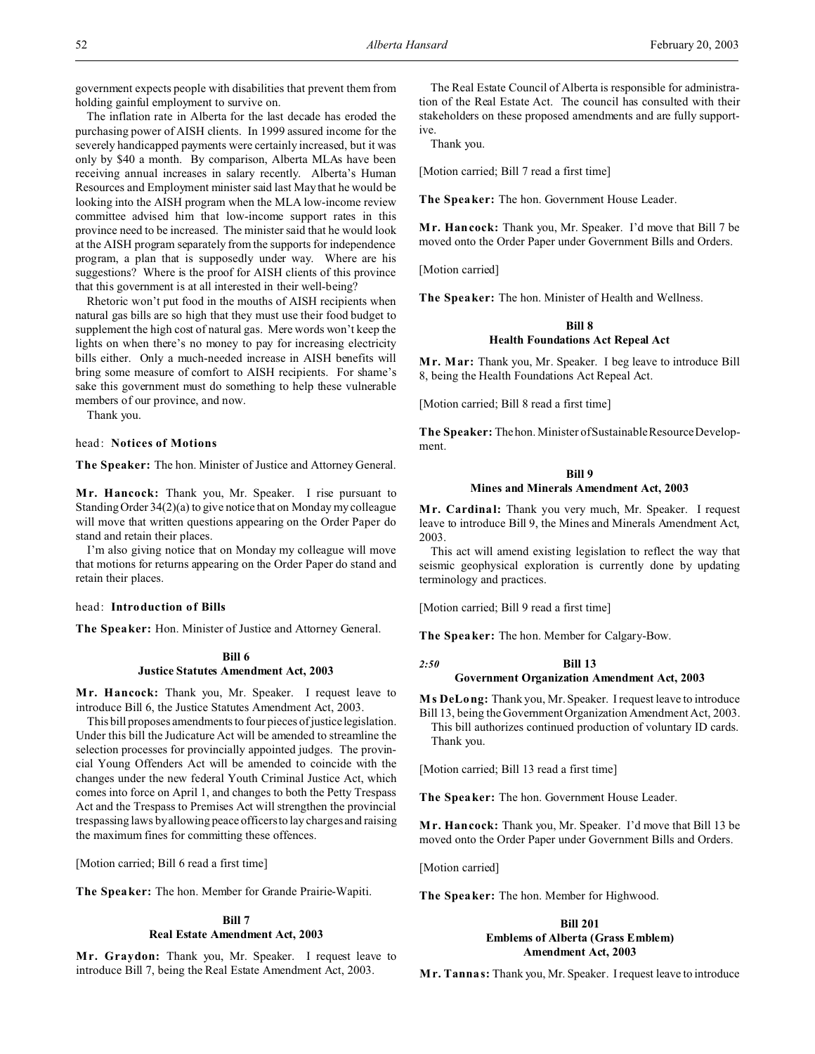government expects people with disabilities that prevent them from holding gainful employment to survive on.

The inflation rate in Alberta for the last decade has eroded the purchasing power of AISH clients. In 1999 assured income for the severely handicapped payments were certainly increased, but it was only by \$40 a month. By comparison, Alberta MLAs have been receiving annual increases in salary recently. Alberta's Human Resources and Employment minister said last May that he would be looking into the AISH program when the MLA low-income review committee advised him that low-income support rates in this province need to be increased. The minister said that he would look at the AISH program separately from the supports for independence program, a plan that is supposedly under way. Where are his suggestions? Where is the proof for AISH clients of this province that this government is at all interested in their well-being?

Rhetoric won't put food in the mouths of AISH recipients when natural gas bills are so high that they must use their food budget to supplement the high cost of natural gas. Mere words won't keep the lights on when there's no money to pay for increasing electricity bills either. Only a much-needed increase in AISH benefits will bring some measure of comfort to AISH recipients. For shame's sake this government must do something to help these vulnerable members of our province, and now.

Thank you.

## head: **Notices of Motions**

**The Speaker:** The hon. Minister of Justice and Attorney General.

**M r. Hancock:** Thank you, Mr. Speaker. I rise pursuant to Standing Order 34(2)(a) to give notice that on Monday my colleague will move that written questions appearing on the Order Paper do stand and retain their places.

I'm also giving notice that on Monday my colleague will move that motions for returns appearing on the Order Paper do stand and retain their places.

#### head: **Introduction of Bills**

**The Speaker:** Hon. Minister of Justice and Attorney General.

# **Bill 6 Justice Statutes Amendment Act, 2003**

**M r. Hancock:** Thank you, Mr. Speaker. I request leave to introduce Bill 6, the Justice Statutes Amendment Act, 2003.

This bill proposes amendments to four pieces of justice legislation. Under this bill the Judicature Act will be amended to streamline the selection processes for provincially appointed judges. The provincial Young Offenders Act will be amended to coincide with the changes under the new federal Youth Criminal Justice Act, which comes into force on April 1, and changes to both the Petty Trespass Act and the Trespass to Premises Act will strengthen the provincial trespassing laws by allowing peace officers to lay charges and raising the maximum fines for committing these offences.

[Motion carried; Bill 6 read a first time]

**The Speaker:** The hon. Member for Grande Prairie-Wapiti.

## **Bill 7 Real Estate Amendment Act, 2003**

**Mr. Graydon:** Thank you, Mr. Speaker. I request leave to introduce Bill 7, being the Real Estate Amendment Act, 2003.

The Real Estate Council of Alberta is responsible for administration of the Real Estate Act. The council has consulted with their stakeholders on these proposed amendments and are fully supportive.

Thank you.

[Motion carried; Bill 7 read a first time]

**The Speaker:** The hon. Government House Leader.

**M r. Hancock:** Thank you, Mr. Speaker. I'd move that Bill 7 be moved onto the Order Paper under Government Bills and Orders.

[Motion carried]

**The Speaker:** The hon. Minister of Health and Wellness.

## **Bill 8**

## **Health Foundations Act Repeal Act**

**M r. Mar:** Thank you, Mr. Speaker. I beg leave to introduce Bill 8, being the Health Foundations Act Repeal Act.

[Motion carried; Bill 8 read a first time]

**The Speaker:** Thehon. Minister of Sustainable Resource Development.

## **Bill 9**

#### **Mines and Minerals Amendment Act, 2003**

**M r. Cardinal:** Thank you very much, Mr. Speaker. I request leave to introduce Bill 9, the Mines and Minerals Amendment Act, 2003.

This act will amend existing legislation to reflect the way that seismic geophysical exploration is currently done by updating terminology and practices.

[Motion carried; Bill 9 read a first time]

**The Speaker:** The hon. Member for Calgary-Bow.

*2:50* **Bill 13**

## **Government Organization Amendment Act, 2003**

**M s DeLong:** Thank you, Mr. Speaker. I request leave to introduce Bill 13, being the Government Organization Amendment Act, 2003.

This bill authorizes continued production of voluntary ID cards. Thank you.

[Motion carried; Bill 13 read a first time]

**The Speaker:** The hon. Government House Leader.

**M r. Hancock:** Thank you, Mr. Speaker. I'd move that Bill 13 be moved onto the Order Paper under Government Bills and Orders.

[Motion carried]

**The Speaker:** The hon. Member for Highwood.

## **Bill 201 Emblems of Alberta (Grass Emblem) Amendment Act, 2003**

**M r. Tannas:** Thank you, Mr. Speaker. I request leave to introduce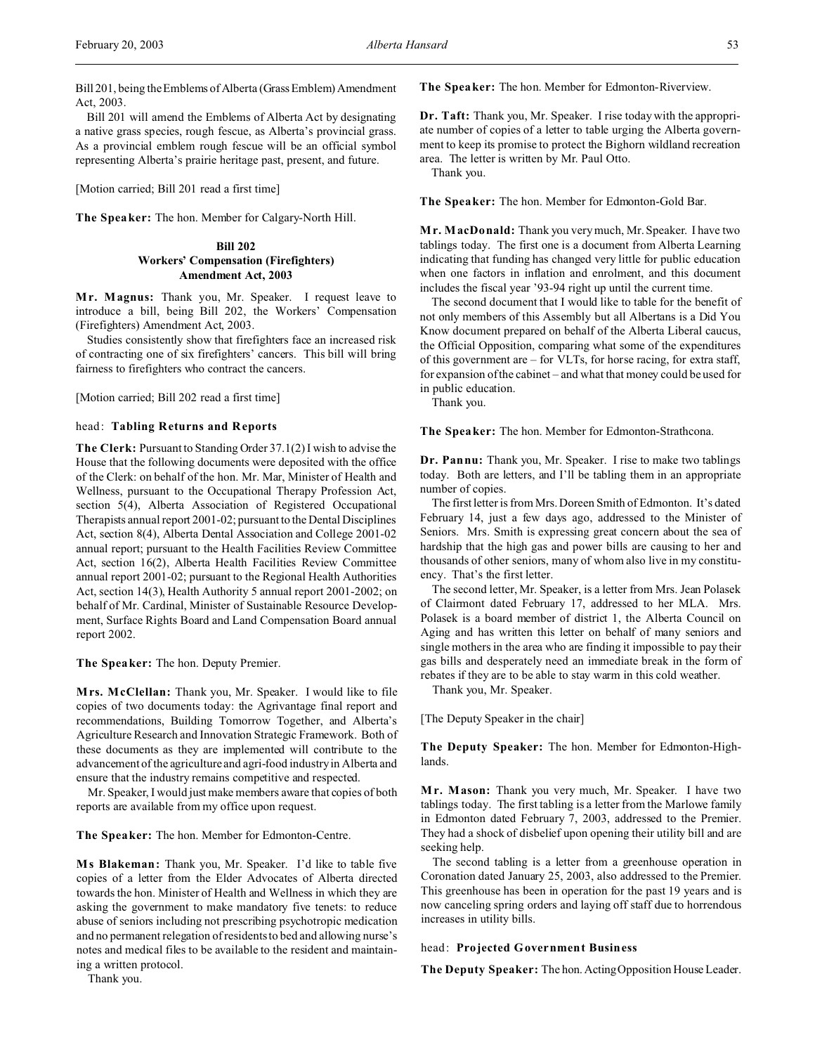Bill 201, being the Emblems of Alberta (GrassEmblem) Amendment Act, 2003.

Bill 201 will amend the Emblems of Alberta Act by designating a native grass species, rough fescue, as Alberta's provincial grass. As a provincial emblem rough fescue will be an official symbol representing Alberta's prairie heritage past, present, and future.

[Motion carried; Bill 201 read a first time]

**The Speaker:** The hon. Member for Calgary-North Hill.

# **Bill 202 Workers' Compensation (Firefighters) Amendment Act, 2003**

**M r. Magnus:** Thank you, Mr. Speaker. I request leave to introduce a bill, being Bill 202, the Workers' Compensation (Firefighters) Amendment Act, 2003.

Studies consistently show that firefighters face an increased risk of contracting one of six firefighters' cancers. This bill will bring fairness to firefighters who contract the cancers.

[Motion carried; Bill 202 read a first time]

## head: **Tabling Returns and Reports**

**The Clerk:** Pursuant to Standing Order 37.1(2) I wish to advise the House that the following documents were deposited with the office of the Clerk: on behalf of the hon. Mr. Mar, Minister of Health and Wellness, pursuant to the Occupational Therapy Profession Act, section 5(4), Alberta Association of Registered Occupational Therapists annual report 2001-02; pursuant to the Dental Disciplines Act, section 8(4), Alberta Dental Association and College 2001-02 annual report; pursuant to the Health Facilities Review Committee Act, section 16(2), Alberta Health Facilities Review Committee annual report 2001-02; pursuant to the Regional Health Authorities Act, section 14(3), Health Authority 5 annual report 2001-2002; on behalf of Mr. Cardinal, Minister of Sustainable Resource Development, Surface Rights Board and Land Compensation Board annual report 2002.

**The Speaker:** The hon. Deputy Premier.

**Mrs. McClellan:** Thank you, Mr. Speaker. I would like to file copies of two documents today: the Agrivantage final report and recommendations, Building Tomorrow Together, and Alberta's Agriculture Research and Innovation Strategic Framework. Both of these documents as they are implemented will contribute to the advancement of the agriculture and agri-food industry in Alberta and ensure that the industry remains competitive and respected.

Mr. Speaker, I would just make members aware that copies of both reports are available from my office upon request.

**The Speaker:** The hon. Member for Edmonton-Centre.

**M s Blakeman:** Thank you, Mr. Speaker. I'd like to table five copies of a letter from the Elder Advocates of Alberta directed towards the hon. Minister of Health and Wellness in which they are asking the government to make mandatory five tenets: to reduce abuse of seniors including not prescribing psychotropic medication and no permanent relegation of residents to bed and allowing nurse's notes and medical files to be available to the resident and maintaining a written protocol.

Thank you.

**The Speaker:** The hon. Member for Edmonton-Riverview.

**Dr. Taft:** Thank you, Mr. Speaker. I rise today with the appropriate number of copies of a letter to table urging the Alberta government to keep its promise to protect the Bighorn wildland recreation area. The letter is written by Mr. Paul Otto.

Thank you.

**The Speaker:** The hon. Member for Edmonton-Gold Bar.

**M r. MacDonald:** Thank you very much, Mr. Speaker. I have two tablings today. The first one is a document from Alberta Learning indicating that funding has changed very little for public education when one factors in inflation and enrolment, and this document includes the fiscal year '93-94 right up until the current time.

The second document that I would like to table for the benefit of not only members of this Assembly but all Albertans is a Did You Know document prepared on behalf of the Alberta Liberal caucus, the Official Opposition, comparing what some of the expenditures of this government are – for VLTs, for horse racing, for extra staff, for expansion of the cabinet – and what that money could be used for in public education.

Thank you.

**The Speaker:** The hon. Member for Edmonton-Strathcona.

**Dr. Pannu:** Thank you, Mr. Speaker. I rise to make two tablings today. Both are letters, and I'll be tabling them in an appropriate number of copies.

The first letter is from Mrs. Doreen Smith of Edmonton. It's dated February 14, just a few days ago, addressed to the Minister of Seniors. Mrs. Smith is expressing great concern about the sea of hardship that the high gas and power bills are causing to her and thousands of other seniors, many of whom also live in my constituency. That's the first letter.

The second letter, Mr. Speaker, is a letter from Mrs. Jean Polasek of Clairmont dated February 17, addressed to her MLA. Mrs. Polasek is a board member of district 1, the Alberta Council on Aging and has written this letter on behalf of many seniors and single mothers in the area who are finding it impossible to pay their gas bills and desperately need an immediate break in the form of rebates if they are to be able to stay warm in this cold weather.

Thank you, Mr. Speaker.

[The Deputy Speaker in the chair]

**The Deputy Speaker:** The hon. Member for Edmonton-Highlands.

**M r. Mason:** Thank you very much, Mr. Speaker. I have two tablings today. The first tabling is a letter from the Marlowe family in Edmonton dated February 7, 2003, addressed to the Premier. They had a shock of disbelief upon opening their utility bill and are seeking help.

The second tabling is a letter from a greenhouse operation in Coronation dated January 25, 2003, also addressed to the Premier. This greenhouse has been in operation for the past 19 years and is now canceling spring orders and laying off staff due to horrendous increases in utility bills.

#### head: **Projected Government Business**

**The Deputy Speaker:** The hon.Acting Opposition House Leader.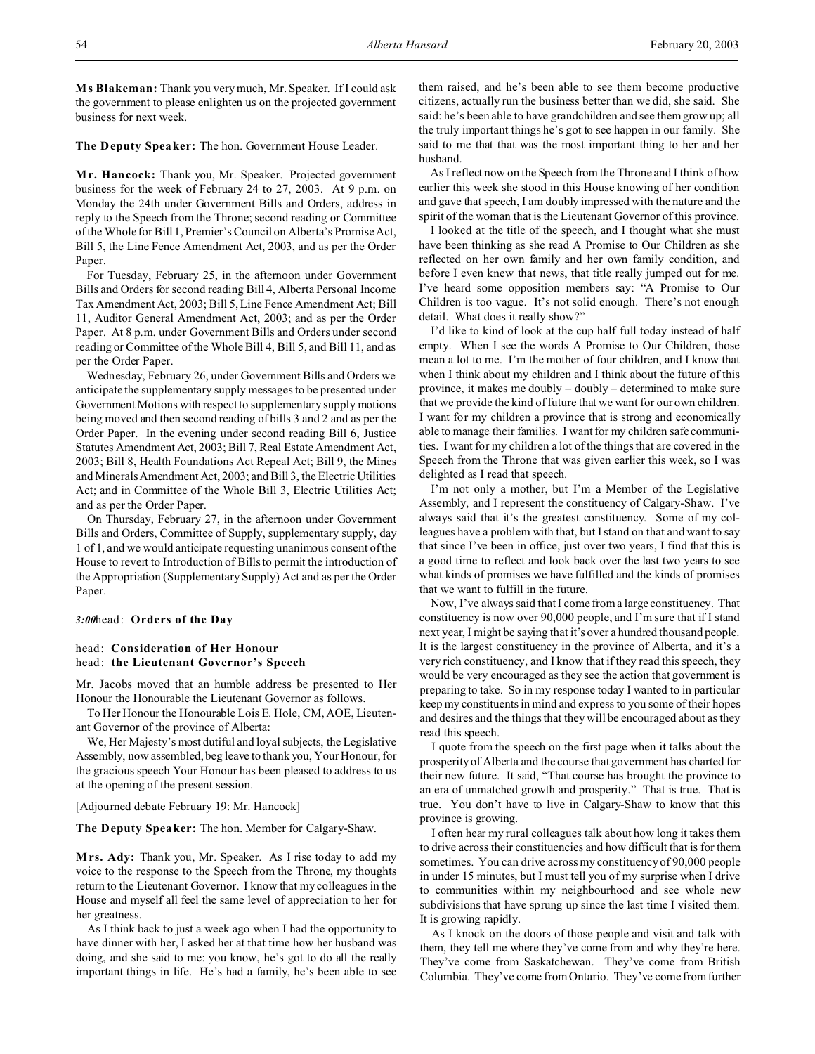**The Deputy Speaker:** The hon. Government House Leader.

**M r. Hancock:** Thank you, Mr. Speaker. Projected government business for the week of February 24 to 27, 2003. At 9 p.m. on Monday the 24th under Government Bills and Orders, address in reply to the Speech from the Throne; second reading or Committee of the Whole for Bill 1, Premier's Council on Alberta's Promise Act, Bill 5, the Line Fence Amendment Act, 2003, and as per the Order Paper.

For Tuesday, February 25, in the afternoon under Government Bills and Orders for second reading Bill 4, Alberta Personal Income Tax Amendment Act, 2003; Bill 5, Line Fence Amendment Act; Bill 11, Auditor General Amendment Act, 2003; and as per the Order Paper. At 8 p.m. under Government Bills and Orders under second reading or Committee of the Whole Bill 4, Bill 5, and Bill 11, and as per the Order Paper.

Wednesday, February 26, under Government Bills and Orders we anticipate the supplementary supply messages to be presented under Government Motions with respect to supplementary supply motions being moved and then second reading of bills 3 and 2 and as per the Order Paper. In the evening under second reading Bill 6, Justice Statutes Amendment Act, 2003; Bill 7, Real Estate Amendment Act, 2003; Bill 8, Health Foundations Act Repeal Act; Bill 9, the Mines and Minerals Amendment Act, 2003; and Bill 3, the Electric Utilities Act; and in Committee of the Whole Bill 3, Electric Utilities Act; and as per the Order Paper.

On Thursday, February 27, in the afternoon under Government Bills and Orders, Committee of Supply, supplementary supply, day 1 of 1, and we would anticipate requesting unanimous consent of the House to revert to Introduction of Bills to permit the introduction of the Appropriation (Supplementary Supply) Act and as per the Order Paper.

*3:00*head: **Orders of the Day**

# head: **Consideration of Her Honour**  head: **the Lieutenant Governor's Speech**

Mr. Jacobs moved that an humble address be presented to Her Honour the Honourable the Lieutenant Governor as follows.

To Her Honour the Honourable Lois E. Hole, CM, AOE, Lieutenant Governor of the province of Alberta:

We, Her Majesty's most dutiful and loyal subjects, the Legislative Assembly, now assembled, beg leave to thank you, Your Honour, for the gracious speech Your Honour has been pleased to address to us at the opening of the present session.

[Adjourned debate February 19: Mr. Hancock]

**The Deputy Speaker:** The hon. Member for Calgary-Shaw.

**M rs. Ady:** Thank you, Mr. Speaker. As I rise today to add my voice to the response to the Speech from the Throne, my thoughts return to the Lieutenant Governor. I know that my colleagues in the House and myself all feel the same level of appreciation to her for her greatness.

As I think back to just a week ago when I had the opportunity to have dinner with her, I asked her at that time how her husband was doing, and she said to me: you know, he's got to do all the really important things in life. He's had a family, he's been able to see them raised, and he's been able to see them become productive citizens, actually run the business better than we did, she said. She said: he's been able to have grandchildren and see them grow up; all the truly important things he's got to see happen in our family. She said to me that that was the most important thing to her and her husband.

As I reflect now on the Speech from the Throne and I think of how earlier this week she stood in this House knowing of her condition and gave that speech, I am doubly impressed with the nature and the spirit of the woman that is the Lieutenant Governor of this province.

I looked at the title of the speech, and I thought what she must have been thinking as she read A Promise to Our Children as she reflected on her own family and her own family condition, and before I even knew that news, that title really jumped out for me. I've heard some opposition members say: "A Promise to Our Children is too vague. It's not solid enough. There's not enough detail. What does it really show?"

I'd like to kind of look at the cup half full today instead of half empty. When I see the words A Promise to Our Children, those mean a lot to me. I'm the mother of four children, and I know that when I think about my children and I think about the future of this province, it makes me doubly – doubly – determined to make sure that we provide the kind of future that we want for our own children. I want for my children a province that is strong and economically able to manage their families. I want for my children safe communities. I want for my children a lot of the things that are covered in the Speech from the Throne that was given earlier this week, so I was delighted as I read that speech.

I'm not only a mother, but I'm a Member of the Legislative Assembly, and I represent the constituency of Calgary-Shaw. I've always said that it's the greatest constituency. Some of my colleagues have a problem with that, but I stand on that and want to say that since I've been in office, just over two years, I find that this is a good time to reflect and look back over the last two years to see what kinds of promises we have fulfilled and the kinds of promises that we want to fulfill in the future.

Now, I've always said that I come from a large constituency. That constituency is now over 90,000 people, and I'm sure that if I stand next year, I might be saying that it's over a hundred thousand people. It is the largest constituency in the province of Alberta, and it's a very rich constituency, and I know that if they read this speech, they would be very encouraged as they see the action that government is preparing to take. So in my response today I wanted to in particular keep my constituents in mind and express to you some of their hopes and desires and the things that they will be encouraged about as they read this speech.

I quote from the speech on the first page when it talks about the prosperity of Alberta and the course that government has charted for their new future. It said, "That course has brought the province to an era of unmatched growth and prosperity." That is true. That is true. You don't have to live in Calgary-Shaw to know that this province is growing.

I often hear my rural colleagues talk about how long it takes them to drive across their constituencies and how difficult that is for them sometimes. You can drive across my constituency of 90,000 people in under 15 minutes, but I must tell you of my surprise when I drive to communities within my neighbourhood and see whole new subdivisions that have sprung up since the last time I visited them. It is growing rapidly.

As I knock on the doors of those people and visit and talk with them, they tell me where they've come from and why they're here. They've come from Saskatchewan. They've come from British Columbia. They've come from Ontario. They've come from further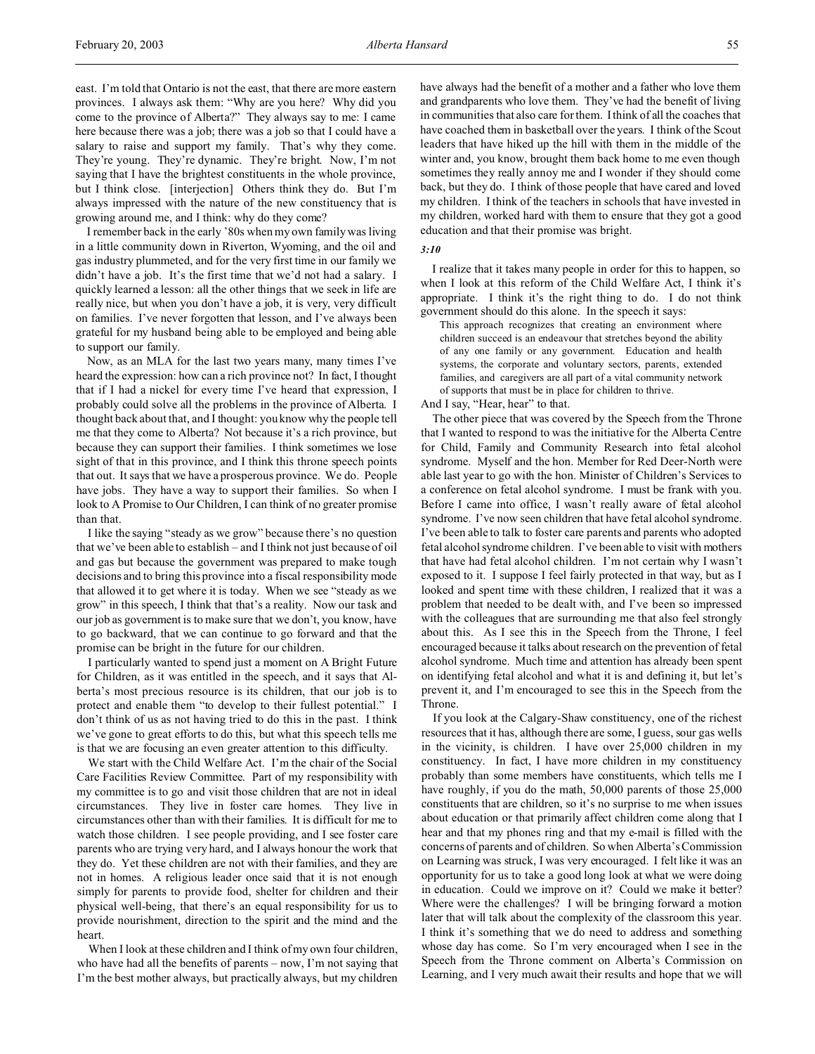east. I'm told that Ontario is not the east, that there are more eastern provinces. I always ask them: "Why are you here? Why did you come to the province of Alberta?" They always say to me: I came here because there was a job; there was a job so that I could have a salary to raise and support my family. That's why they come. They're young. They're dynamic. They're bright. Now, I'm not saying that I have the brightest constituents in the whole province, but I think close. [interjection] Others think they do. But I'm always impressed with the nature of the new constituency that is growing around me, and I think: why do they come?

I remember back in the early '80s when my own family was living in a little community down in Riverton, Wyoming, and the oil and gas industry plummeted, and for the very first time in our family we didn't have a job. It's the first time that we'd not had a salary. I quickly learned a lesson: all the other things that we seek in life are really nice, but when you don't have a job, it is very, very difficult on families. I've never forgotten that lesson, and I've always been grateful for my husband being able to be employed and being able to support our family.

Now, as an MLA for the last two years many, many times I've heard the expression: how can a rich province not? In fact, I thought that if I had a nickel for every time I've heard that expression, I probably could solve all the problems in the province of Alberta. I thought back about that, and I thought: you know why the people tell me that they come to Alberta? Not because it's a rich province, but because they can support their families. I think sometimes we lose sight of that in this province, and I think this throne speech points that out. It says that we have a prosperous province. We do. People have jobs. They have a way to support their families. So when I look to A Promise to Our Children, I can think of no greater promise than that.

I like the saying "steady as we grow" because there's no question that we've been able to establish – and I think not just because of oil and gas but because the government was prepared to make tough decisions and to bring this province into a fiscal responsibility mode that allowed it to get where it is today. When we see "steady as we grow" in this speech, I think that that's a reality. Now our task and our job as government is to make sure that we don't, you know, have to go backward, that we can continue to go forward and that the promise can be bright in the future for our children.

I particularly wanted to spend just a moment on A Bright Future for Children, as it was entitled in the speech, and it says that Alberta's most precious resource is its children, that our job is to protect and enable them "to develop to their fullest potential." I don't think of us as not having tried to do this in the past. I think we've gone to great efforts to do this, but what this speech tells me is that we are focusing an even greater attention to this difficulty.

We start with the Child Welfare Act. I'm the chair of the Social Care Facilities Review Committee. Part of my responsibility with my committee is to go and visit those children that are not in ideal circumstances. They live in foster care homes. They live in circumstances other than with their families. It is difficult for me to watch those children. I see people providing, and I see foster care parents who are trying very hard, and I always honour the work that they do. Yet these children are not with their families, and they are not in homes. A religious leader once said that it is not enough simply for parents to provide food, shelter for children and their physical well-being, that there's an equal responsibility for us to provide nourishment, direction to the spirit and the mind and the heart.

When I look at these children and I think of my own four children, who have had all the benefits of parents – now, I'm not saying that I'm the best mother always, but practically always, but my children have always had the benefit of a mother and a father who love them and grandparents who love them. They've had the benefit of living in communities that also care for them. I think of all the coaches that have coached them in basketball over the years. I think of the Scout leaders that have hiked up the hill with them in the middle of the winter and, you know, brought them back home to me even though sometimes they really annoy me and I wonder if they should come back, but they do. I think of those people that have cared and loved my children. I think of the teachers in schools that have invested in my children, worked hard with them to ensure that they got a good education and that their promise was bright.

## *3:10*

I realize that it takes many people in order for this to happen, so when I look at this reform of the Child Welfare Act, I think it's appropriate. I think it's the right thing to do. I do not think government should do this alone. In the speech it says:

This approach recognizes that creating an environment where children succeed is an endeavour that stretches beyond the ability of any one family or any government. Education and health systems, the corporate and voluntary sectors, parents, extended families, and caregivers are all part of a vital community network of supports that must be in place for children to thrive.

And I say, "Hear, hear" to that.

The other piece that was covered by the Speech from the Throne that I wanted to respond to was the initiative for the Alberta Centre for Child, Family and Community Research into fetal alcohol syndrome. Myself and the hon. Member for Red Deer-North were able last year to go with the hon. Minister of Children's Services to a conference on fetal alcohol syndrome. I must be frank with you. Before I came into office, I wasn't really aware of fetal alcohol syndrome. I've now seen children that have fetal alcohol syndrome. I've been able to talk to foster care parents and parents who adopted fetal alcohol syndrome children. I've been able to visit with mothers that have had fetal alcohol children. I'm not certain why I wasn't exposed to it. I suppose I feel fairly protected in that way, but as I looked and spent time with these children, I realized that it was a problem that needed to be dealt with, and I've been so impressed with the colleagues that are surrounding me that also feel strongly about this. As I see this in the Speech from the Throne, I feel encouraged because it talks about research on the prevention of fetal alcohol syndrome. Much time and attention has already been spent on identifying fetal alcohol and what it is and defining it, but let's prevent it, and I'm encouraged to see this in the Speech from the Throne.

If you look at the Calgary-Shaw constituency, one of the richest resources that it has, although there are some, I guess, sour gas wells in the vicinity, is children. I have over 25,000 children in my constituency. In fact, I have more children in my constituency probably than some members have constituents, which tells me I have roughly, if you do the math, 50,000 parents of those 25,000 constituents that are children, so it's no surprise to me when issues about education or that primarily affect children come along that I hear and that my phones ring and that my e-mail is filled with the concerns of parents and of children. So when Alberta's Commission on Learning was struck, I was very encouraged. I felt like it was an opportunity for us to take a good long look at what we were doing in education. Could we improve on it? Could we make it better? Where were the challenges? I will be bringing forward a motion later that will talk about the complexity of the classroom this year. I think it's something that we do need to address and something whose day has come. So I'm very encouraged when I see in the Speech from the Throne comment on Alberta's Commission on Learning, and I very much await their results and hope that we will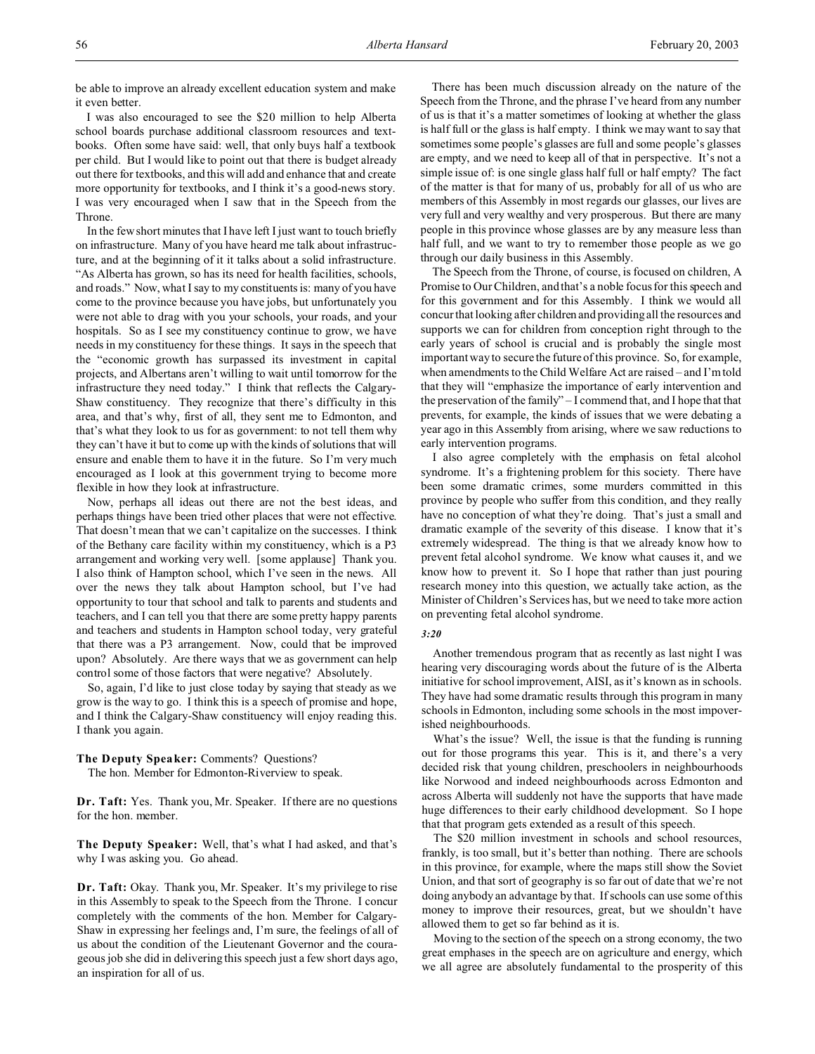be able to improve an already excellent education system and make it even better.

I was also encouraged to see the \$20 million to help Alberta school boards purchase additional classroom resources and textbooks. Often some have said: well, that only buys half a textbook per child. But I would like to point out that there is budget already out there for textbooks, and this will add and enhance that and create more opportunity for textbooks, and I think it's a good-news story. I was very encouraged when I saw that in the Speech from the Throne.

In the few short minutes that I have left I just want to touch briefly on infrastructure. Many of you have heard me talk about infrastructure, and at the beginning of it it talks about a solid infrastructure. "As Alberta has grown, so has its need for health facilities, schools, and roads." Now, what I say to my constituents is: many of you have come to the province because you have jobs, but unfortunately you were not able to drag with you your schools, your roads, and your hospitals. So as I see my constituency continue to grow, we have needs in my constituency for these things. It says in the speech that the "economic growth has surpassed its investment in capital projects, and Albertans aren't willing to wait until tomorrow for the infrastructure they need today." I think that reflects the Calgary-Shaw constituency. They recognize that there's difficulty in this area, and that's why, first of all, they sent me to Edmonton, and that's what they look to us for as government: to not tell them why they can't have it but to come up with the kinds of solutions that will ensure and enable them to have it in the future. So I'm very much encouraged as I look at this government trying to become more flexible in how they look at infrastructure.

Now, perhaps all ideas out there are not the best ideas, and perhaps things have been tried other places that were not effective. That doesn't mean that we can't capitalize on the successes. I think of the Bethany care facility within my constituency, which is a P3 arrangement and working very well. [some applause] Thank you. I also think of Hampton school, which I've seen in the news. All over the news they talk about Hampton school, but I've had opportunity to tour that school and talk to parents and students and teachers, and I can tell you that there are some pretty happy parents and teachers and students in Hampton school today, very grateful that there was a P3 arrangement. Now, could that be improved upon? Absolutely. Are there ways that we as government can help control some of those factors that were negative? Absolutely.

So, again, I'd like to just close today by saying that steady as we grow is the way to go. I think this is a speech of promise and hope, and I think the Calgary-Shaw constituency will enjoy reading this. I thank you again.

## **The Deputy Speaker:** Comments? Questions?

The hon. Member for Edmonton-Riverview to speak.

**Dr. Taft:** Yes. Thank you, Mr. Speaker. If there are no questions for the hon. member.

**The Deputy Speaker:** Well, that's what I had asked, and that's why I was asking you. Go ahead.

**Dr. Taft:** Okay. Thank you, Mr. Speaker. It's my privilege to rise in this Assembly to speak to the Speech from the Throne. I concur completely with the comments of the hon. Member for Calgary-Shaw in expressing her feelings and, I'm sure, the feelings of all of us about the condition of the Lieutenant Governor and the courageous job she did in delivering this speech just a few short days ago, an inspiration for all of us.

There has been much discussion already on the nature of the Speech from the Throne, and the phrase I've heard from any number of us is that it's a matter sometimes of looking at whether the glass is half full or the glass is half empty. I think we may want to say that sometimes some people's glasses are full and some people's glasses are empty, and we need to keep all of that in perspective. It's not a simple issue of: is one single glass half full or half empty? The fact of the matter is that for many of us, probably for all of us who are members of this Assembly in most regards our glasses, our lives are very full and very wealthy and very prosperous. But there are many people in this province whose glasses are by any measure less than half full, and we want to try to remember those people as we go through our daily business in this Assembly.

The Speech from the Throne, of course, is focused on children, A Promise to Our Children, and that's a noble focus for this speech and for this government and for this Assembly. I think we would all concur that looking after children and providing all the resources and supports we can for children from conception right through to the early years of school is crucial and is probably the single most important way to secure the future of this province. So, for example, when amendments to the Child Welfare Act are raised – and I'm told that they will "emphasize the importance of early intervention and the preservation of the family" – I commend that, and I hope that that prevents, for example, the kinds of issues that we were debating a year ago in this Assembly from arising, where we saw reductions to early intervention programs.

I also agree completely with the emphasis on fetal alcohol syndrome. It's a frightening problem for this society. There have been some dramatic crimes, some murders committed in this province by people who suffer from this condition, and they really have no conception of what they're doing. That's just a small and dramatic example of the severity of this disease. I know that it's extremely widespread. The thing is that we already know how to prevent fetal alcohol syndrome. We know what causes it, and we know how to prevent it. So I hope that rather than just pouring research money into this question, we actually take action, as the Minister of Children's Services has, but we need to take more action on preventing fetal alcohol syndrome.

## *3:20*

Another tremendous program that as recently as last night I was hearing very discouraging words about the future of is the Alberta initiative for school improvement, AISI, as it's known as in schools. They have had some dramatic results through this program in many schools in Edmonton, including some schools in the most impoverished neighbourhoods.

What's the issue? Well, the issue is that the funding is running out for those programs this year. This is it, and there's a very decided risk that young children, preschoolers in neighbourhoods like Norwood and indeed neighbourhoods across Edmonton and across Alberta will suddenly not have the supports that have made huge differences to their early childhood development. So I hope that that program gets extended as a result of this speech.

The \$20 million investment in schools and school resources, frankly, is too small, but it's better than nothing. There are schools in this province, for example, where the maps still show the Soviet Union, and that sort of geography is so far out of date that we're not doing anybody an advantage by that. If schools can use some of this money to improve their resources, great, but we shouldn't have allowed them to get so far behind as it is.

Moving to the section of the speech on a strong economy, the two great emphases in the speech are on agriculture and energy, which we all agree are absolutely fundamental to the prosperity of this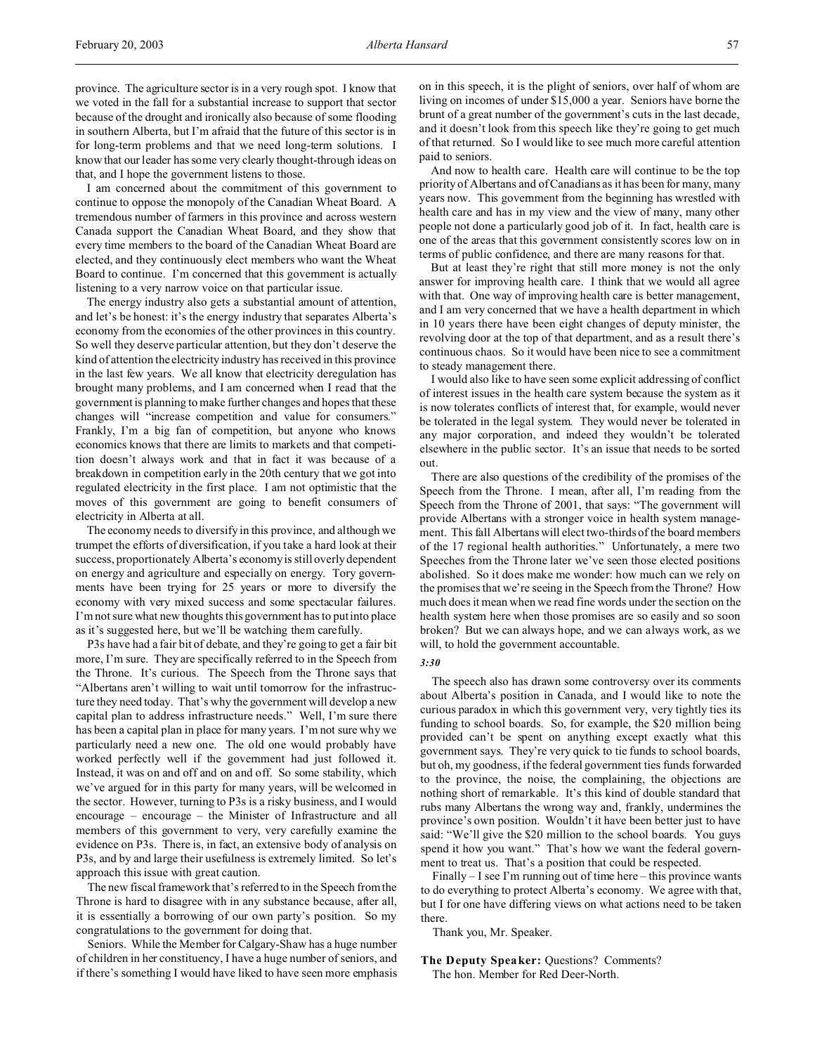province. The agriculture sector is in a very rough spot. I know that we voted in the fall for a substantial increase to support that sector because of the drought and ironically also because of some flooding in southern Alberta, but I'm afraid that the future of this sector is in for long-term problems and that we need long-term solutions. I know that our leader has some very clearly thought-through ideas on that, and I hope the government listens to those.

I am concerned about the commitment of this government to continue to oppose the monopoly of the Canadian Wheat Board. A tremendous number of farmers in this province and across western Canada support the Canadian Wheat Board, and they show that every time members to the board of the Canadian Wheat Board are elected, and they continuously elect members who want the Wheat Board to continue. I'm concerned that this government is actually listening to a very narrow voice on that particular issue.

The energy industry also gets a substantial amount of attention, and let's be honest: it's the energy industry that separates Alberta's economy from the economies of the other provinces in this country. So well they deserve particular attention, but they don't deserve the kind of attention the electricity industry has received in this province in the last few years. We all know that electricity deregulation has brought many problems, and I am concerned when I read that the government is planning to make further changes and hopes that these changes will "increase competition and value for consumers." Frankly, I'm a big fan of competition, but anyone who knows economics knows that there are limits to markets and that competition doesn't always work and that in fact it was because of a breakdown in competition early in the 20th century that we got into regulated electricity in the first place. I am not optimistic that the moves of this government are going to benefit consumers of electricity in Alberta at all.

The economy needs to diversify in this province, and although we trumpet the efforts of diversification, if you take a hard look at their success, proportionately Alberta's economy is still overly dependent on energy and agriculture and especially on energy. Tory governments have been trying for 25 years or more to diversify the economy with very mixed success and some spectacular failures. I'm not sure what new thoughts this government has to put into place as it's suggested here, but we'll be watching them carefully.

P3s have had a fair bit of debate, and they're going to get a fair bit more, I'm sure. They are specifically referred to in the Speech from the Throne. It's curious. The Speech from the Throne says that "Albertans aren't willing to wait until tomorrow for the infrastructure they need today. That's why the government will develop a new capital plan to address infrastructure needs." Well, I'm sure there has been a capital plan in place for many years. I'm not sure why we particularly need a new one. The old one would probably have worked perfectly well if the government had just followed it. Instead, it was on and off and on and off. So some stability, which we've argued for in this party for many years, will be welcomed in the sector. However, turning to P3s is a risky business, and I would encourage – encourage – the Minister of Infrastructure and all members of this government to very, very carefully examine the evidence on P3s. There is, in fact, an extensive body of analysis on P3s, and by and large their usefulness is extremely limited. So let's approach this issue with great caution.

The new fiscal framework that's referred to in the Speech from the Throne is hard to disagree with in any substance because, after all, it is essentially a borrowing of our own party's position. So my congratulations to the government for doing that.

Seniors. While the Member for Calgary-Shaw has a huge number of children in her constituency, I have a huge number of seniors, and if there's something I would have liked to have seen more emphasis on in this speech, it is the plight of seniors, over half of whom are living on incomes of under \$15,000 a year. Seniors have borne the brunt of a great number of the government's cuts in the last decade, and it doesn't look from this speech like they're going to get much of that returned. So I would like to see much more careful attention paid to seniors.

And now to health care. Health care will continue to be the top priority of Albertans and of Canadians as it has been for many, many years now. This government from the beginning has wrestled with health care and has in my view and the view of many, many other people not done a particularly good job of it. In fact, health care is one of the areas that this government consistently scores low on in terms of public confidence, and there are many reasons for that.

But at least they're right that still more money is not the only answer for improving health care. I think that we would all agree with that. One way of improving health care is better management, and I am very concerned that we have a health department in which in 10 years there have been eight changes of deputy minister, the revolving door at the top of that department, and as a result there's continuous chaos. So it would have been nice to see a commitment to steady management there.

I would also like to have seen some explicit addressing of conflict of interest issues in the health care system because the system as it is now tolerates conflicts of interest that, for example, would never be tolerated in the legal system. They would never be tolerated in any major corporation, and indeed they wouldn't be tolerated elsewhere in the public sector. It's an issue that needs to be sorted out.

There are also questions of the credibility of the promises of the Speech from the Throne. I mean, after all, I'm reading from the Speech from the Throne of 2001, that says: "The government will provide Albertans with a stronger voice in health system management. This fall Albertans will elect two-thirds of the board members of the 17 regional health authorities." Unfortunately, a mere two Speeches from the Throne later we've seen those elected positions abolished. So it does make me wonder: how much can we rely on the promises that we're seeing in the Speech from the Throne? How much does it mean when we read fine words under the section on the health system here when those promises are so easily and so soon broken? But we can always hope, and we can always work, as we will, to hold the government accountable.

#### *3:30*

The speech also has drawn some controversy over its comments about Alberta's position in Canada, and I would like to note the curious paradox in which this government very, very tightly ties its funding to school boards. So, for example, the \$20 million being provided can't be spent on anything except exactly what this government says. They're very quick to tie funds to school boards, but oh, my goodness, if the federal government ties funds forwarded to the province, the noise, the complaining, the objections are nothing short of remarkable. It's this kind of double standard that rubs many Albertans the wrong way and, frankly, undermines the province's own position. Wouldn't it have been better just to have said: "We'll give the \$20 million to the school boards. You guys spend it how you want." That's how we want the federal government to treat us. That's a position that could be respected.

Finally – I see I'm running out of time here – this province wants to do everything to protect Alberta's economy. We agree with that, but I for one have differing views on what actions need to be taken there.

Thank you, Mr. Speaker.

**The Deputy Speaker:** Questions? Comments? The hon. Member for Red Deer-North.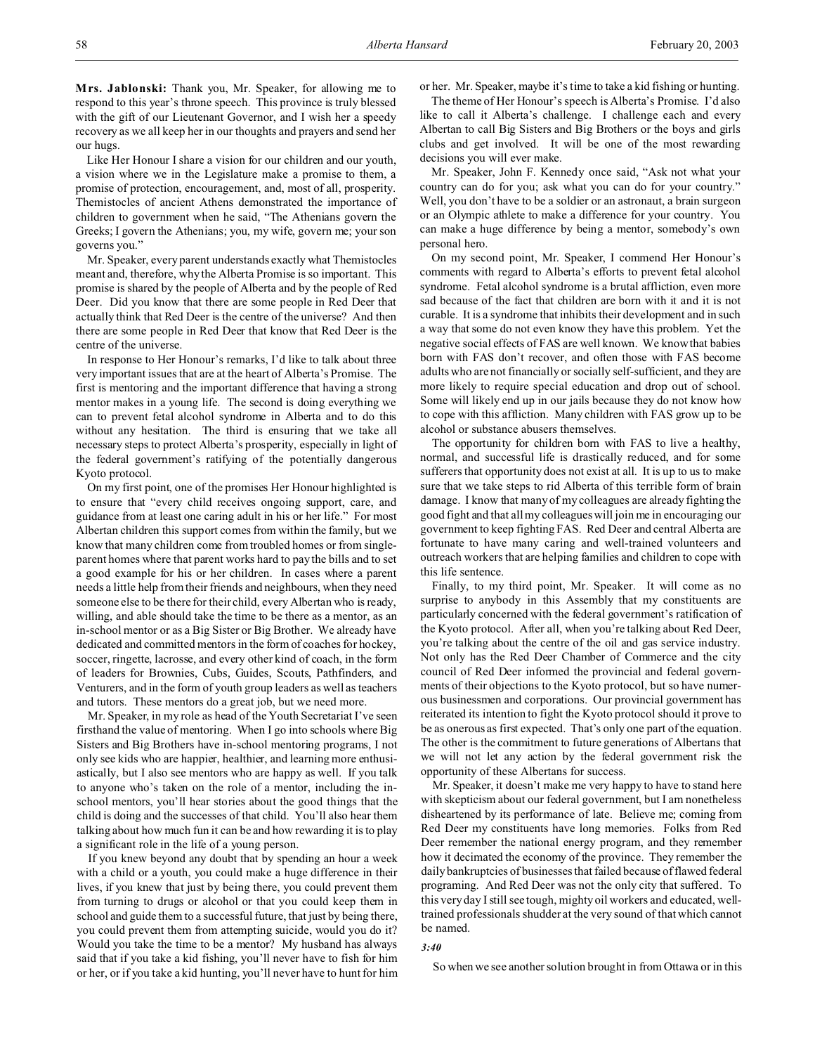**Mrs. Jablonski:** Thank you, Mr. Speaker, for allowing me to respond to this year's throne speech. This province is truly blessed with the gift of our Lieutenant Governor, and I wish her a speedy recovery as we all keep her in our thoughts and prayers and send her our hugs.

Like Her Honour I share a vision for our children and our youth, a vision where we in the Legislature make a promise to them, a promise of protection, encouragement, and, most of all, prosperity. Themistocles of ancient Athens demonstrated the importance of children to government when he said, "The Athenians govern the Greeks; I govern the Athenians; you, my wife, govern me; your son governs you."

Mr. Speaker, every parent understands exactly what Themistocles meant and, therefore, why the Alberta Promise is so important. This promise is shared by the people of Alberta and by the people of Red Deer. Did you know that there are some people in Red Deer that actually think that Red Deer is the centre of the universe? And then there are some people in Red Deer that know that Red Deer is the centre of the universe.

In response to Her Honour's remarks, I'd like to talk about three very important issues that are at the heart of Alberta's Promise. The first is mentoring and the important difference that having a strong mentor makes in a young life. The second is doing everything we can to prevent fetal alcohol syndrome in Alberta and to do this without any hesitation. The third is ensuring that we take all necessary steps to protect Alberta's prosperity, especially in light of the federal government's ratifying of the potentially dangerous Kyoto protocol.

On my first point, one of the promises Her Honour highlighted is to ensure that "every child receives ongoing support, care, and guidance from at least one caring adult in his or her life." For most Albertan children this support comes from within the family, but we know that many children come from troubled homes or from singleparent homes where that parent works hard to pay the bills and to set a good example for his or her children. In cases where a parent needs a little help from their friends and neighbours, when they need someone else to be there for their child, every Albertan who is ready, willing, and able should take the time to be there as a mentor, as an in-school mentor or as a Big Sister or Big Brother. We already have dedicated and committed mentors in the form of coaches for hockey, soccer, ringette, lacrosse, and every other kind of coach, in the form of leaders for Brownies, Cubs, Guides, Scouts, Pathfinders, and Venturers, and in the form of youth group leaders as well as teachers and tutors. These mentors do a great job, but we need more.

Mr. Speaker, in my role as head of the Youth Secretariat I've seen firsthand the value of mentoring. When I go into schools where Big Sisters and Big Brothers have in-school mentoring programs, I not only see kids who are happier, healthier, and learning more enthusiastically, but I also see mentors who are happy as well. If you talk to anyone who's taken on the role of a mentor, including the inschool mentors, you'll hear stories about the good things that the child is doing and the successes of that child. You'll also hear them talking about how much fun it can be and how rewarding it is to play a significant role in the life of a young person.

If you knew beyond any doubt that by spending an hour a week with a child or a youth, you could make a huge difference in their lives, if you knew that just by being there, you could prevent them from turning to drugs or alcohol or that you could keep them in school and guide them to a successful future, that just by being there, you could prevent them from attempting suicide, would you do it? Would you take the time to be a mentor? My husband has always said that if you take a kid fishing, you'll never have to fish for him or her, or if you take a kid hunting, you'll never have to hunt for him

or her. Mr. Speaker, maybe it's time to take a kid fishing or hunting.

The theme of Her Honour's speech is Alberta's Promise. I'd also like to call it Alberta's challenge. I challenge each and every Albertan to call Big Sisters and Big Brothers or the boys and girls clubs and get involved. It will be one of the most rewarding decisions you will ever make.

Mr. Speaker, John F. Kennedy once said, "Ask not what your country can do for you; ask what you can do for your country." Well, you don't have to be a soldier or an astronaut, a brain surgeon or an Olympic athlete to make a difference for your country. You can make a huge difference by being a mentor, somebody's own personal hero.

On my second point, Mr. Speaker, I commend Her Honour's comments with regard to Alberta's efforts to prevent fetal alcohol syndrome. Fetal alcohol syndrome is a brutal affliction, even more sad because of the fact that children are born with it and it is not curable. It is a syndrome that inhibits their development and in such a way that some do not even know they have this problem. Yet the negative social effects of FAS are well known. We know that babies born with FAS don't recover, and often those with FAS become adults who are not financially or socially self-sufficient, and they are more likely to require special education and drop out of school. Some will likely end up in our jails because they do not know how to cope with this affliction. Many children with FAS grow up to be alcohol or substance abusers themselves.

The opportunity for children born with FAS to live a healthy, normal, and successful life is drastically reduced, and for some sufferers that opportunity does not exist at all. It is up to us to make sure that we take steps to rid Alberta of this terrible form of brain damage. I know that many of my colleagues are already fighting the good fight and that all my colleagues will join me in encouraging our government to keep fighting FAS. Red Deer and central Alberta are fortunate to have many caring and well-trained volunteers and outreach workers that are helping families and children to cope with this life sentence.

Finally, to my third point, Mr. Speaker. It will come as no surprise to anybody in this Assembly that my constituents are particularly concerned with the federal government's ratification of the Kyoto protocol. After all, when you're talking about Red Deer, you're talking about the centre of the oil and gas service industry. Not only has the Red Deer Chamber of Commerce and the city council of Red Deer informed the provincial and federal governments of their objections to the Kyoto protocol, but so have numerous businessmen and corporations. Our provincial government has reiterated its intention to fight the Kyoto protocol should it prove to be as onerous as first expected. That's only one part of the equation. The other is the commitment to future generations of Albertans that we will not let any action by the federal government risk the opportunity of these Albertans for success.

Mr. Speaker, it doesn't make me very happy to have to stand here with skepticism about our federal government, but I am nonetheless disheartened by its performance of late. Believe me; coming from Red Deer my constituents have long memories. Folks from Red Deer remember the national energy program, and they remember how it decimated the economy of the province. They remember the daily bankruptcies of businesses that failed because of flawed federal programing. And Red Deer was not the only city that suffered. To this very day I still see tough, mighty oil workers and educated, welltrained professionals shudder at the very sound of that which cannot be named.

#### *3:40*

So when we see another solution brought in from Ottawa or in this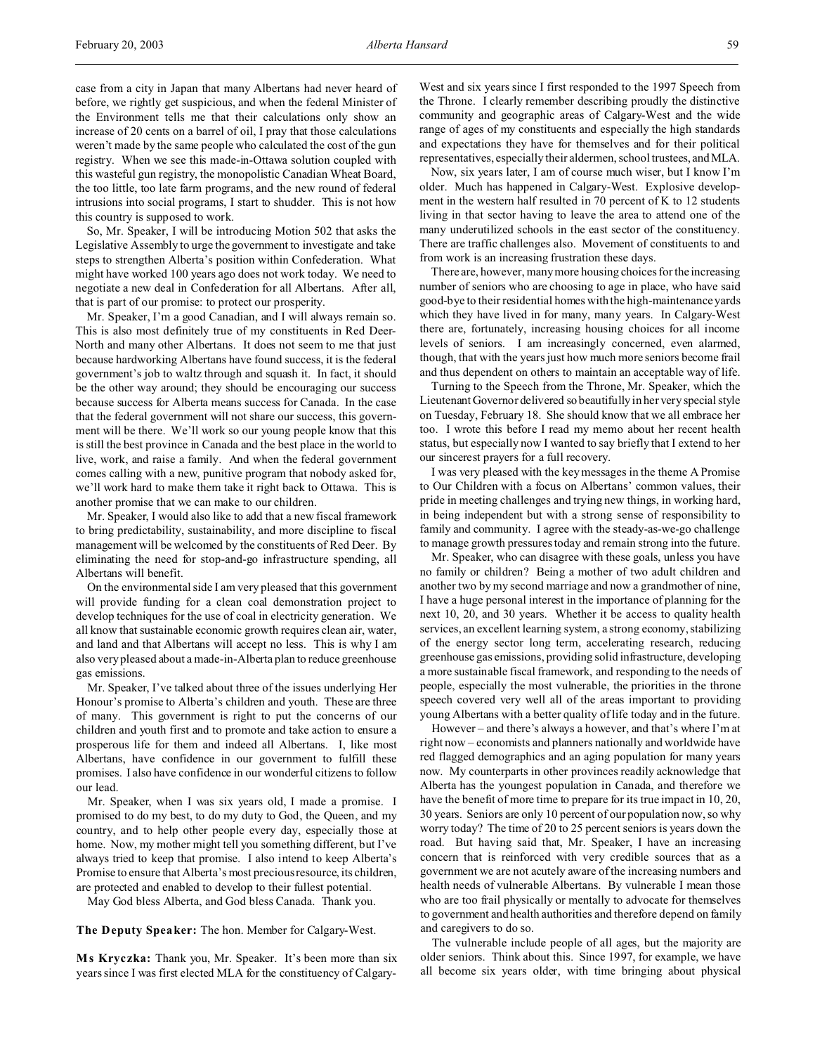case from a city in Japan that many Albertans had never heard of before, we rightly get suspicious, and when the federal Minister of the Environment tells me that their calculations only show an increase of 20 cents on a barrel of oil, I pray that those calculations weren't made by the same people who calculated the cost of the gun registry. When we see this made-in-Ottawa solution coupled with this wasteful gun registry, the monopolistic Canadian Wheat Board, the too little, too late farm programs, and the new round of federal intrusions into social programs, I start to shudder. This is not how this country is supposed to work.

So, Mr. Speaker, I will be introducing Motion 502 that asks the Legislative Assembly to urge the government to investigate and take steps to strengthen Alberta's position within Confederation. What might have worked 100 years ago does not work today. We need to negotiate a new deal in Confederation for all Albertans. After all, that is part of our promise: to protect our prosperity.

Mr. Speaker, I'm a good Canadian, and I will always remain so. This is also most definitely true of my constituents in Red Deer-North and many other Albertans. It does not seem to me that just because hardworking Albertans have found success, it is the federal government's job to waltz through and squash it. In fact, it should be the other way around; they should be encouraging our success because success for Alberta means success for Canada. In the case that the federal government will not share our success, this government will be there. We'll work so our young people know that this is still the best province in Canada and the best place in the world to live, work, and raise a family. And when the federal government comes calling with a new, punitive program that nobody asked for, we'll work hard to make them take it right back to Ottawa. This is another promise that we can make to our children.

Mr. Speaker, I would also like to add that a new fiscal framework to bring predictability, sustainability, and more discipline to fiscal management will be welcomed by the constituents of Red Deer. By eliminating the need for stop-and-go infrastructure spending, all Albertans will benefit.

On the environmental side I am very pleased that this government will provide funding for a clean coal demonstration project to develop techniques for the use of coal in electricity generation. We all know that sustainable economic growth requires clean air, water, and land and that Albertans will accept no less. This is why I am also very pleased about a made-in-Alberta plan to reduce greenhouse gas emissions.

Mr. Speaker, I've talked about three of the issues underlying Her Honour's promise to Alberta's children and youth. These are three of many. This government is right to put the concerns of our children and youth first and to promote and take action to ensure a prosperous life for them and indeed all Albertans. I, like most Albertans, have confidence in our government to fulfill these promises. I also have confidence in our wonderful citizens to follow our lead.

Mr. Speaker, when I was six years old, I made a promise. I promised to do my best, to do my duty to God, the Queen, and my country, and to help other people every day, especially those at home. Now, my mother might tell you something different, but I've always tried to keep that promise. I also intend to keep Alberta's Promise to ensure that Alberta's most precious resource, its children, are protected and enabled to develop to their fullest potential.

May God bless Alberta, and God bless Canada. Thank you.

**The Deputy Speaker:** The hon. Member for Calgary-West.

**M s Kryczka:** Thank you, Mr. Speaker. It's been more than six years since I was first elected MLA for the constituency of CalgaryWest and six years since I first responded to the 1997 Speech from the Throne. I clearly remember describing proudly the distinctive community and geographic areas of Calgary-West and the wide range of ages of my constituents and especially the high standards and expectations they have for themselves and for their political representatives, especially their aldermen, school trustees, and MLA.

Now, six years later, I am of course much wiser, but I know I'm older. Much has happened in Calgary-West. Explosive development in the western half resulted in 70 percent of K to 12 students living in that sector having to leave the area to attend one of the many underutilized schools in the east sector of the constituency. There are traffic challenges also. Movement of constituents to and from work is an increasing frustration these days.

There are, however, many more housing choices for the increasing number of seniors who are choosing to age in place, who have said good-bye to their residential homes with the high-maintenance yards which they have lived in for many, many years. In Calgary-West there are, fortunately, increasing housing choices for all income levels of seniors. I am increasingly concerned, even alarmed, though, that with the years just how much more seniors become frail and thus dependent on others to maintain an acceptable way of life.

Turning to the Speech from the Throne, Mr. Speaker, which the Lieutenant Governor delivered so beautifully in her very special style on Tuesday, February 18. She should know that we all embrace her too. I wrote this before I read my memo about her recent health status, but especially now I wanted to say briefly that I extend to her our sincerest prayers for a full recovery.

I was very pleased with the key messages in the theme A Promise to Our Children with a focus on Albertans' common values, their pride in meeting challenges and trying new things, in working hard, in being independent but with a strong sense of responsibility to family and community. I agree with the steady-as-we-go challenge to manage growth pressures today and remain strong into the future.

Mr. Speaker, who can disagree with these goals, unless you have no family or children? Being a mother of two adult children and another two by my second marriage and now a grandmother of nine, I have a huge personal interest in the importance of planning for the next 10, 20, and 30 years. Whether it be access to quality health services, an excellent learning system, a strong economy, stabilizing of the energy sector long term, accelerating research, reducing greenhouse gas emissions, providing solid infrastructure, developing a more sustainable fiscal framework, and responding to the needs of people, especially the most vulnerable, the priorities in the throne speech covered very well all of the areas important to providing young Albertans with a better quality of life today and in the future.

However – and there's always a however, and that's where I'm at right now – economists and planners nationally and worldwide have red flagged demographics and an aging population for many years now. My counterparts in other provinces readily acknowledge that Alberta has the youngest population in Canada, and therefore we have the benefit of more time to prepare for its true impact in 10, 20, 30 years. Seniors are only 10 percent of our population now, so why worry today? The time of 20 to 25 percent seniors is years down the road. But having said that, Mr. Speaker, I have an increasing concern that is reinforced with very credible sources that as a government we are not acutely aware of the increasing numbers and health needs of vulnerable Albertans. By vulnerable I mean those who are too frail physically or mentally to advocate for themselves to government and health authorities and therefore depend on family and caregivers to do so.

The vulnerable include people of all ages, but the majority are older seniors. Think about this. Since 1997, for example, we have all become six years older, with time bringing about physical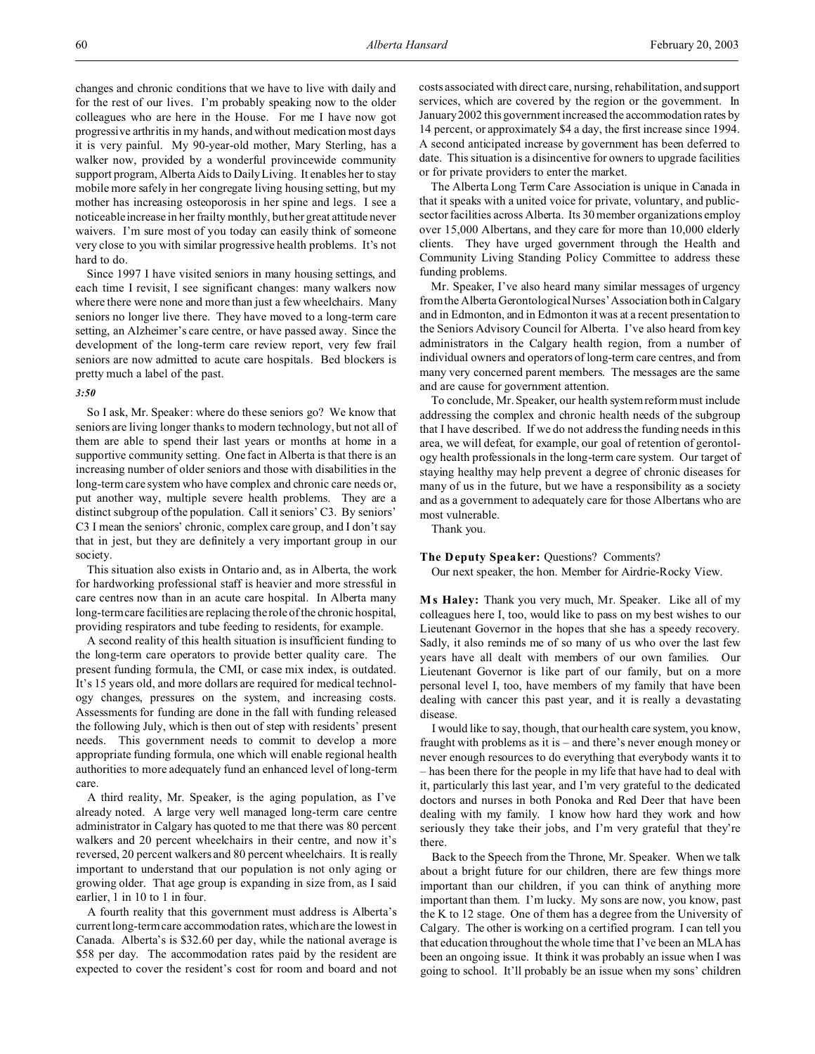changes and chronic conditions that we have to live with daily and for the rest of our lives. I'm probably speaking now to the older colleagues who are here in the House. For me I have now got progressive arthritis in my hands, and without medication most days it is very painful. My 90-year-old mother, Mary Sterling, has a walker now, provided by a wonderful provincewide community support program, Alberta Aids to Daily Living. It enables her to stay mobile more safely in her congregate living housing setting, but my mother has increasing osteoporosis in her spine and legs. I see a noticeable increase in her frailty monthly, but her great attitude never waivers. I'm sure most of you today can easily think of someone very close to you with similar progressive health problems. It's not hard to do.

Since 1997 I have visited seniors in many housing settings, and each time I revisit, I see significant changes: many walkers now where there were none and more than just a few wheelchairs. Many seniors no longer live there. They have moved to a long-term care setting, an Alzheimer's care centre, or have passed away. Since the development of the long-term care review report, very few frail seniors are now admitted to acute care hospitals. Bed blockers is pretty much a label of the past.

## *3:50*

So I ask, Mr. Speaker: where do these seniors go? We know that seniors are living longer thanks to modern technology, but not all of them are able to spend their last years or months at home in a supportive community setting. One fact in Alberta is that there is an increasing number of older seniors and those with disabilities in the long-term care system who have complex and chronic care needs or, put another way, multiple severe health problems. They are a distinct subgroup of the population. Call it seniors' C3. By seniors' C3 I mean the seniors' chronic, complex care group, and I don't say that in jest, but they are definitely a very important group in our society.

This situation also exists in Ontario and, as in Alberta, the work for hardworking professional staff is heavier and more stressful in care centres now than in an acute care hospital. In Alberta many long-term care facilities are replacing the role of the chronic hospital, providing respirators and tube feeding to residents, for example.

A second reality of this health situation is insufficient funding to the long-term care operators to provide better quality care. The present funding formula, the CMI, or case mix index, is outdated. It's 15 years old, and more dollars are required for medical technology changes, pressures on the system, and increasing costs. Assessments for funding are done in the fall with funding released the following July, which is then out of step with residents' present needs. This government needs to commit to develop a more appropriate funding formula, one which will enable regional health authorities to more adequately fund an enhanced level of long-term care.

A third reality, Mr. Speaker, is the aging population, as I've already noted. A large very well managed long-term care centre administrator in Calgary has quoted to me that there was 80 percent walkers and 20 percent wheelchairs in their centre, and now it's reversed, 20 percent walkers and 80 percent wheelchairs. It is really important to understand that our population is not only aging or growing older. That age group is expanding in size from, as I said earlier, 1 in 10 to 1 in four.

A fourth reality that this government must address is Alberta's current long-term care accommodation rates, which are the lowest in Canada. Alberta's is \$32.60 per day, while the national average is \$58 per day. The accommodation rates paid by the resident are expected to cover the resident's cost for room and board and not costs associated with direct care, nursing, rehabilitation, and support services, which are covered by the region or the government. In January 2002 this government increased the accommodation rates by 14 percent, or approximately \$4 a day, the first increase since 1994. A second anticipated increase by government has been deferred to date. This situation is a disincentive for owners to upgrade facilities or for private providers to enter the market.

The Alberta Long Term Care Association is unique in Canada in that it speaks with a united voice for private, voluntary, and publicsector facilities across Alberta. Its 30 member organizations employ over 15,000 Albertans, and they care for more than 10,000 elderly clients. They have urged government through the Health and Community Living Standing Policy Committee to address these funding problems.

Mr. Speaker, I've also heard many similar messages of urgency from the Alberta Gerontological Nurses' Association both inCalgary and in Edmonton, and in Edmonton it was at a recent presentation to the Seniors Advisory Council for Alberta. I've also heard from key administrators in the Calgary health region, from a number of individual owners and operators of long-term care centres, and from many very concerned parent members. The messages are the same and are cause for government attention.

To conclude, Mr. Speaker, our health system reform must include addressing the complex and chronic health needs of the subgroup that I have described. If we do not address the funding needs in this area, we will defeat, for example, our goal of retention of gerontology health professionals in the long-term care system. Our target of staying healthy may help prevent a degree of chronic diseases for many of us in the future, but we have a responsibility as a society and as a government to adequately care for those Albertans who are most vulnerable.

Thank you.

#### **The Deputy Speaker:** Questions? Comments?

Our next speaker, the hon. Member for Airdrie-Rocky View.

**Ms Haley:** Thank you very much, Mr. Speaker. Like all of my colleagues here I, too, would like to pass on my best wishes to our Lieutenant Governor in the hopes that she has a speedy recovery. Sadly, it also reminds me of so many of us who over the last few years have all dealt with members of our own families. Our Lieutenant Governor is like part of our family, but on a more personal level I, too, have members of my family that have been dealing with cancer this past year, and it is really a devastating disease.

I would like to say, though, that our health care system, you know, fraught with problems as it is – and there's never enough money or never enough resources to do everything that everybody wants it to – has been there for the people in my life that have had to deal with it, particularly this last year, and I'm very grateful to the dedicated doctors and nurses in both Ponoka and Red Deer that have been dealing with my family. I know how hard they work and how seriously they take their jobs, and I'm very grateful that they're there.

Back to the Speech from the Throne, Mr. Speaker. When we talk about a bright future for our children, there are few things more important than our children, if you can think of anything more important than them. I'm lucky. My sons are now, you know, past the K to 12 stage. One of them has a degree from the University of Calgary. The other is working on a certified program. I can tell you that education throughout the whole time that I've been an MLA has been an ongoing issue. It think it was probably an issue when I was going to school. It'll probably be an issue when my sons' children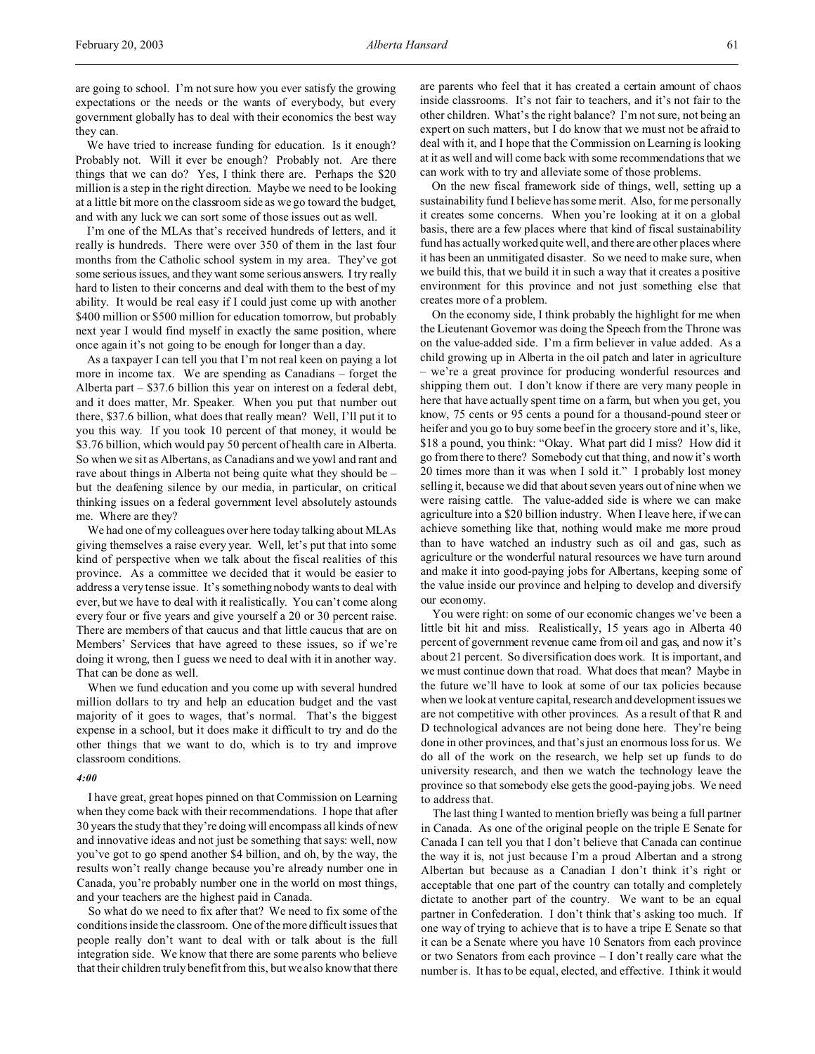are going to school. I'm not sure how you ever satisfy the growing expectations or the needs or the wants of everybody, but every government globally has to deal with their economics the best way they can.

We have tried to increase funding for education. Is it enough? Probably not. Will it ever be enough? Probably not. Are there things that we can do? Yes, I think there are. Perhaps the \$20 million is a step in the right direction. Maybe we need to be looking at a little bit more on the classroom side as we go toward the budget, and with any luck we can sort some of those issues out as well.

I'm one of the MLAs that's received hundreds of letters, and it really is hundreds. There were over 350 of them in the last four months from the Catholic school system in my area. They've got some serious issues, and they want some serious answers. I try really hard to listen to their concerns and deal with them to the best of my ability. It would be real easy if I could just come up with another \$400 million or \$500 million for education tomorrow, but probably next year I would find myself in exactly the same position, where once again it's not going to be enough for longer than a day.

As a taxpayer I can tell you that I'm not real keen on paying a lot more in income tax. We are spending as Canadians – forget the Alberta part – \$37.6 billion this year on interest on a federal debt, and it does matter, Mr. Speaker. When you put that number out there, \$37.6 billion, what does that really mean? Well, I'll put it to you this way. If you took 10 percent of that money, it would be \$3.76 billion, which would pay 50 percent of health care in Alberta. So when we sit as Albertans, as Canadians and we yowl and rant and rave about things in Alberta not being quite what they should be – but the deafening silence by our media, in particular, on critical thinking issues on a federal government level absolutely astounds me. Where are they?

We had one of my colleagues over here today talking about MLAs giving themselves a raise every year. Well, let's put that into some kind of perspective when we talk about the fiscal realities of this province. As a committee we decided that it would be easier to address a very tense issue. It's something nobody wants to deal with ever, but we have to deal with it realistically. You can't come along every four or five years and give yourself a 20 or 30 percent raise. There are members of that caucus and that little caucus that are on Members' Services that have agreed to these issues, so if we're doing it wrong, then I guess we need to deal with it in another way. That can be done as well.

When we fund education and you come up with several hundred million dollars to try and help an education budget and the vast majority of it goes to wages, that's normal. That's the biggest expense in a school, but it does make it difficult to try and do the other things that we want to do, which is to try and improve classroom conditions.

## *4:00*

I have great, great hopes pinned on that Commission on Learning when they come back with their recommendations. I hope that after 30 years the study that they're doing will encompass all kinds of new and innovative ideas and not just be something that says: well, now you've got to go spend another \$4 billion, and oh, by the way, the results won't really change because you're already number one in Canada, you're probably number one in the world on most things, and your teachers are the highest paid in Canada.

So what do we need to fix after that? We need to fix some of the conditions inside the classroom. One of the more difficult issues that people really don't want to deal with or talk about is the full integration side. We know that there are some parents who believe that their children truly benefit from this, but we also know that there are parents who feel that it has created a certain amount of chaos inside classrooms. It's not fair to teachers, and it's not fair to the other children. What's the right balance? I'm not sure, not being an expert on such matters, but I do know that we must not be afraid to deal with it, and I hope that the Commission on Learning is looking at it as well and will come back with some recommendations that we can work with to try and alleviate some of those problems.

On the new fiscal framework side of things, well, setting up a sustainability fund I believe has some merit. Also, for me personally it creates some concerns. When you're looking at it on a global basis, there are a few places where that kind of fiscal sustainability fund has actually worked quite well, and there are other places where it has been an unmitigated disaster. So we need to make sure, when we build this, that we build it in such a way that it creates a positive environment for this province and not just something else that creates more of a problem.

On the economy side, I think probably the highlight for me when the Lieutenant Governor was doing the Speech from the Throne was on the value-added side. I'm a firm believer in value added. As a child growing up in Alberta in the oil patch and later in agriculture – we're a great province for producing wonderful resources and shipping them out. I don't know if there are very many people in here that have actually spent time on a farm, but when you get, you know, 75 cents or 95 cents a pound for a thousand-pound steer or heifer and you go to buy some beef in the grocery store and it's, like, \$18 a pound, you think: "Okay. What part did I miss? How did it go from there to there? Somebody cut that thing, and now it's worth 20 times more than it was when I sold it." I probably lost money selling it, because we did that about seven years out of nine when we were raising cattle. The value-added side is where we can make agriculture into a \$20 billion industry. When I leave here, if we can achieve something like that, nothing would make me more proud than to have watched an industry such as oil and gas, such as agriculture or the wonderful natural resources we have turn around and make it into good-paying jobs for Albertans, keeping some of the value inside our province and helping to develop and diversify our economy.

You were right: on some of our economic changes we've been a little bit hit and miss. Realistically, 15 years ago in Alberta 40 percent of government revenue came from oil and gas, and now it's about 21 percent. So diversification does work. It is important, and we must continue down that road. What does that mean? Maybe in the future we'll have to look at some of our tax policies because when we look at venture capital, research and development issues we are not competitive with other provinces. As a result of that R and D technological advances are not being done here. They're being done in other provinces, and that's just an enormous loss for us. We do all of the work on the research, we help set up funds to do university research, and then we watch the technology leave the province so that somebody else gets the good-paying jobs. We need to address that.

The last thing I wanted to mention briefly was being a full partner in Canada. As one of the original people on the triple E Senate for Canada I can tell you that I don't believe that Canada can continue the way it is, not just because I'm a proud Albertan and a strong Albertan but because as a Canadian I don't think it's right or acceptable that one part of the country can totally and completely dictate to another part of the country. We want to be an equal partner in Confederation. I don't think that's asking too much. If one way of trying to achieve that is to have a tripe E Senate so that it can be a Senate where you have 10 Senators from each province or two Senators from each province – I don't really care what the number is. It has to be equal, elected, and effective. I think it would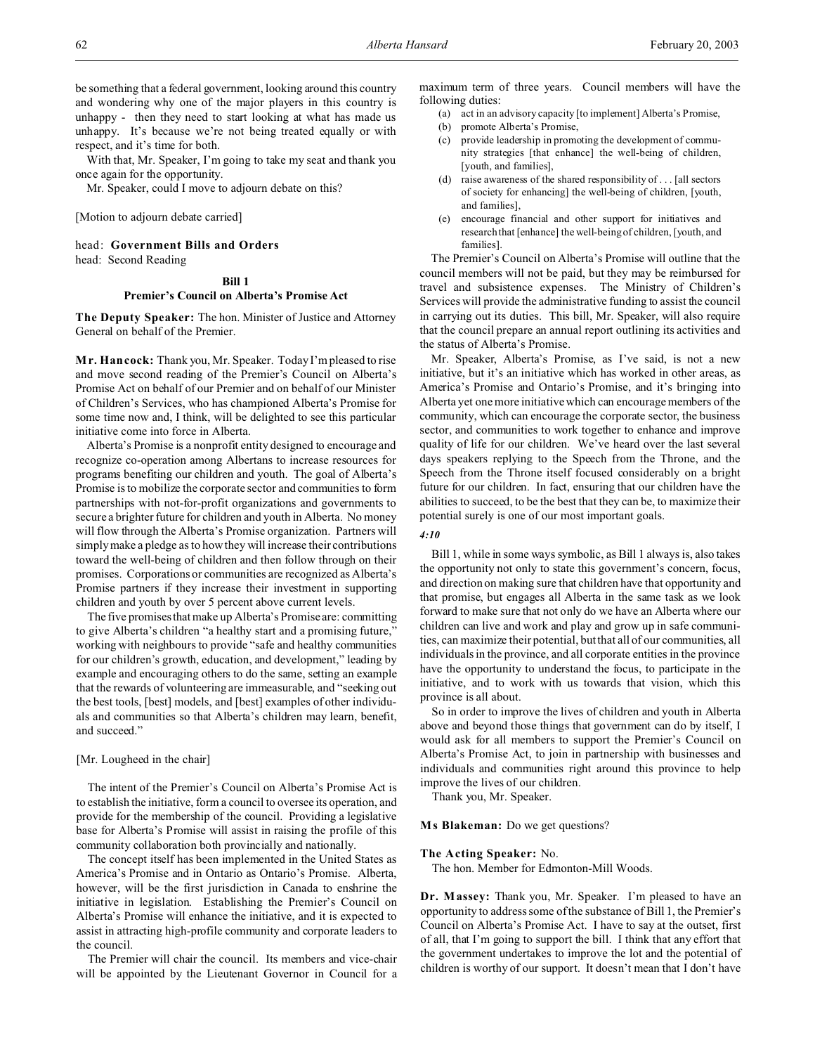be something that a federal government, looking around this country and wondering why one of the major players in this country is unhappy - then they need to start looking at what has made us unhappy. It's because we're not being treated equally or with respect, and it's time for both.

With that, Mr. Speaker, I'm going to take my seat and thank you once again for the opportunity.

Mr. Speaker, could I move to adjourn debate on this?

[Motion to adjourn debate carried]

head: **Government Bills and Orders** head: Second Reading

#### **Bill 1**

#### **Premier's Council on Alberta's Promise Act**

**The Deputy Speaker:** The hon. Minister of Justice and Attorney General on behalf of the Premier.

**M r. Hancock:** Thank you, Mr. Speaker. Today I'm pleased to rise and move second reading of the Premier's Council on Alberta's Promise Act on behalf of our Premier and on behalf of our Minister of Children's Services, who has championed Alberta's Promise for some time now and, I think, will be delighted to see this particular initiative come into force in Alberta.

Alberta's Promise is a nonprofit entity designed to encourage and recognize co-operation among Albertans to increase resources for programs benefiting our children and youth. The goal of Alberta's Promise is to mobilize the corporate sector and communities to form partnerships with not-for-profit organizations and governments to secure a brighter future for children and youth in Alberta. No money will flow through the Alberta's Promise organization. Partners will simply make a pledge as to how they will increase their contributions toward the well-being of children and then follow through on their promises. Corporations or communities are recognized as Alberta's Promise partners if they increase their investment in supporting children and youth by over 5 percent above current levels.

The five promises that make up Alberta's Promise are: committing to give Alberta's children "a healthy start and a promising future," working with neighbours to provide "safe and healthy communities for our children's growth, education, and development," leading by example and encouraging others to do the same, setting an example that the rewards of volunteering are immeasurable, and "seeking out the best tools, [best] models, and [best] examples of other individuals and communities so that Alberta's children may learn, benefit, and succeed."

#### [Mr. Lougheed in the chair]

The intent of the Premier's Council on Alberta's Promise Act is to establish the initiative, form a council to oversee its operation, and provide for the membership of the council. Providing a legislative base for Alberta's Promise will assist in raising the profile of this community collaboration both provincially and nationally.

The concept itself has been implemented in the United States as America's Promise and in Ontario as Ontario's Promise. Alberta, however, will be the first jurisdiction in Canada to enshrine the initiative in legislation. Establishing the Premier's Council on Alberta's Promise will enhance the initiative, and it is expected to assist in attracting high-profile community and corporate leaders to the council.

The Premier will chair the council. Its members and vice-chair will be appointed by the Lieutenant Governor in Council for a maximum term of three years. Council members will have the following duties:

- (a) act in an advisory capacity [to implement] Alberta's Promise,
- (b) promote Alberta's Promise,
- (c) provide leadership in promoting the development of community strategies [that enhance] the well-being of children, [youth, and families],
- (d) raise awareness of the shared responsibility of . . . [all sectors of society for enhancing] the well-being of children, [youth, and families],
- (e) encourage financial and other support for initiatives and research that [enhance] the well-being of children, [youth, and families].

The Premier's Council on Alberta's Promise will outline that the council members will not be paid, but they may be reimbursed for travel and subsistence expenses. The Ministry of Children's Services will provide the administrative funding to assist the council in carrying out its duties. This bill, Mr. Speaker, will also require that the council prepare an annual report outlining its activities and the status of Alberta's Promise.

Mr. Speaker, Alberta's Promise, as I've said, is not a new initiative, but it's an initiative which has worked in other areas, as America's Promise and Ontario's Promise, and it's bringing into Alberta yet one more initiative which can encourage members of the community, which can encourage the corporate sector, the business sector, and communities to work together to enhance and improve quality of life for our children. We've heard over the last several days speakers replying to the Speech from the Throne, and the Speech from the Throne itself focused considerably on a bright future for our children. In fact, ensuring that our children have the abilities to succeed, to be the best that they can be, to maximize their potential surely is one of our most important goals.

#### *4:10*

Bill 1, while in some ways symbolic, as Bill 1 always is, also takes the opportunity not only to state this government's concern, focus, and direction on making sure that children have that opportunity and that promise, but engages all Alberta in the same task as we look forward to make sure that not only do we have an Alberta where our children can live and work and play and grow up in safe communities, can maximize their potential, but that all of our communities, all individuals in the province, and all corporate entities in the province have the opportunity to understand the focus, to participate in the initiative, and to work with us towards that vision, which this province is all about.

So in order to improve the lives of children and youth in Alberta above and beyond those things that government can do by itself, I would ask for all members to support the Premier's Council on Alberta's Promise Act, to join in partnership with businesses and individuals and communities right around this province to help improve the lives of our children.

Thank you, Mr. Speaker.

## **Ms Blakeman:** Do we get questions?

#### **The Acting Speaker:** No.

The hon. Member for Edmonton-Mill Woods.

**Dr. Massey:** Thank you, Mr. Speaker. I'm pleased to have an opportunity to address some of the substance of Bill 1, the Premier's Council on Alberta's Promise Act. I have to say at the outset, first of all, that I'm going to support the bill. I think that any effort that the government undertakes to improve the lot and the potential of children is worthy of our support. It doesn't mean that I don't have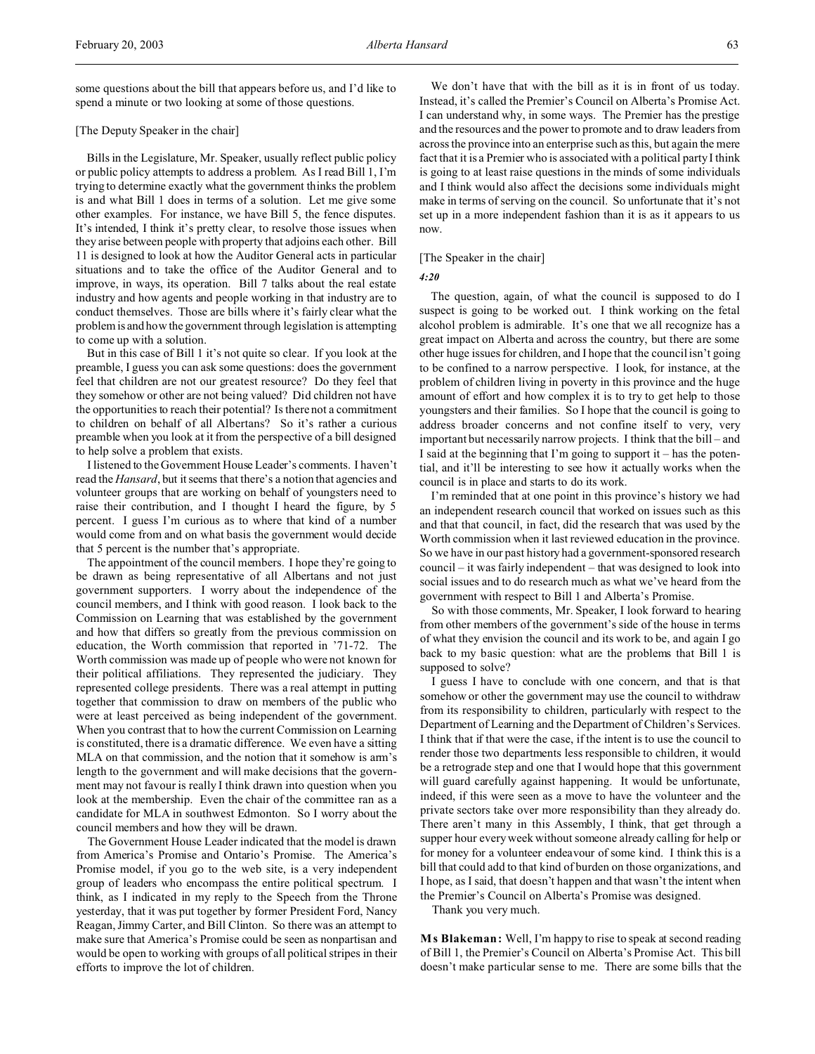some questions about the bill that appears before us, and I'd like to spend a minute or two looking at some of those questions.

## [The Deputy Speaker in the chair]

Bills in the Legislature, Mr. Speaker, usually reflect public policy or public policy attempts to address a problem. As I read Bill 1, I'm trying to determine exactly what the government thinks the problem is and what Bill 1 does in terms of a solution. Let me give some other examples. For instance, we have Bill 5, the fence disputes. It's intended, I think it's pretty clear, to resolve those issues when they arise between people with property that adjoins each other. Bill 11 is designed to look at how the Auditor General acts in particular situations and to take the office of the Auditor General and to improve, in ways, its operation. Bill 7 talks about the real estate industry and how agents and people working in that industry are to conduct themselves. Those are bills where it's fairly clear what the problem is and how the government through legislation is attempting to come up with a solution.

But in this case of Bill 1 it's not quite so clear. If you look at the preamble, I guess you can ask some questions: does the government feel that children are not our greatest resource? Do they feel that they somehow or other are not being valued? Did children not have the opportunities to reach their potential? Is there not a commitment to children on behalf of all Albertans? So it's rather a curious preamble when you look at it from the perspective of a bill designed to help solve a problem that exists.

I listened to the Government House Leader's comments. I haven't read the *Hansard*, but it seems that there's a notion that agencies and volunteer groups that are working on behalf of youngsters need to raise their contribution, and I thought I heard the figure, by 5 percent. I guess I'm curious as to where that kind of a number would come from and on what basis the government would decide that 5 percent is the number that's appropriate.

The appointment of the council members. I hope they're going to be drawn as being representative of all Albertans and not just government supporters. I worry about the independence of the council members, and I think with good reason. I look back to the Commission on Learning that was established by the government and how that differs so greatly from the previous commission on education, the Worth commission that reported in '71-72. The Worth commission was made up of people who were not known for their political affiliations. They represented the judiciary. They represented college presidents. There was a real attempt in putting together that commission to draw on members of the public who were at least perceived as being independent of the government. When you contrast that to how the current Commission on Learning is constituted, there is a dramatic difference. We even have a sitting MLA on that commission, and the notion that it somehow is arm's length to the government and will make decisions that the government may not favour is really I think drawn into question when you look at the membership. Even the chair of the committee ran as a candidate for MLA in southwest Edmonton. So I worry about the council members and how they will be drawn.

The Government House Leader indicated that the model is drawn from America's Promise and Ontario's Promise. The America's Promise model, if you go to the web site, is a very independent group of leaders who encompass the entire political spectrum. I think, as I indicated in my reply to the Speech from the Throne yesterday, that it was put together by former President Ford, Nancy Reagan, Jimmy Carter, and Bill Clinton. So there was an attempt to make sure that America's Promise could be seen as nonpartisan and would be open to working with groups of all political stripes in their efforts to improve the lot of children.

We don't have that with the bill as it is in front of us today. Instead, it's called the Premier's Council on Alberta's Promise Act. I can understand why, in some ways. The Premier has the prestige and the resources and the power to promote and to draw leaders from across the province into an enterprise such as this, but again the mere fact that it is a Premier who is associated with a political party I think is going to at least raise questions in the minds of some individuals and I think would also affect the decisions some individuals might make in terms of serving on the council. So unfortunate that it's not set up in a more independent fashion than it is as it appears to us now.

#### [The Speaker in the chair]

#### *4:20*

The question, again, of what the council is supposed to do I suspect is going to be worked out. I think working on the fetal alcohol problem is admirable. It's one that we all recognize has a great impact on Alberta and across the country, but there are some other huge issues for children, and I hope that the council isn't going to be confined to a narrow perspective. I look, for instance, at the problem of children living in poverty in this province and the huge amount of effort and how complex it is to try to get help to those youngsters and their families. So I hope that the council is going to address broader concerns and not confine itself to very, very important but necessarily narrow projects. I think that the bill – and I said at the beginning that I'm going to support it – has the potential, and it'll be interesting to see how it actually works when the council is in place and starts to do its work.

I'm reminded that at one point in this province's history we had an independent research council that worked on issues such as this and that that council, in fact, did the research that was used by the Worth commission when it last reviewed education in the province. So we have in our past history had a government-sponsored research council – it was fairly independent – that was designed to look into social issues and to do research much as what we've heard from the government with respect to Bill 1 and Alberta's Promise.

So with those comments, Mr. Speaker, I look forward to hearing from other members of the government's side of the house in terms of what they envision the council and its work to be, and again I go back to my basic question: what are the problems that Bill 1 is supposed to solve?

I guess I have to conclude with one concern, and that is that somehow or other the government may use the council to withdraw from its responsibility to children, particularly with respect to the Department of Learning and the Department of Children's Services. I think that if that were the case, if the intent is to use the council to render those two departments less responsible to children, it would be a retrograde step and one that I would hope that this government will guard carefully against happening. It would be unfortunate, indeed, if this were seen as a move to have the volunteer and the private sectors take over more responsibility than they already do. There aren't many in this Assembly, I think, that get through a supper hour every week without someone already calling for help or for money for a volunteer endeavour of some kind. I think this is a bill that could add to that kind of burden on those organizations, and I hope, as I said, that doesn't happen and that wasn't the intent when the Premier's Council on Alberta's Promise was designed.

Thank you very much.

**M s Blakeman:** Well, I'm happy to rise to speak at second reading of Bill 1, the Premier's Council on Alberta's Promise Act. This bill doesn't make particular sense to me. There are some bills that the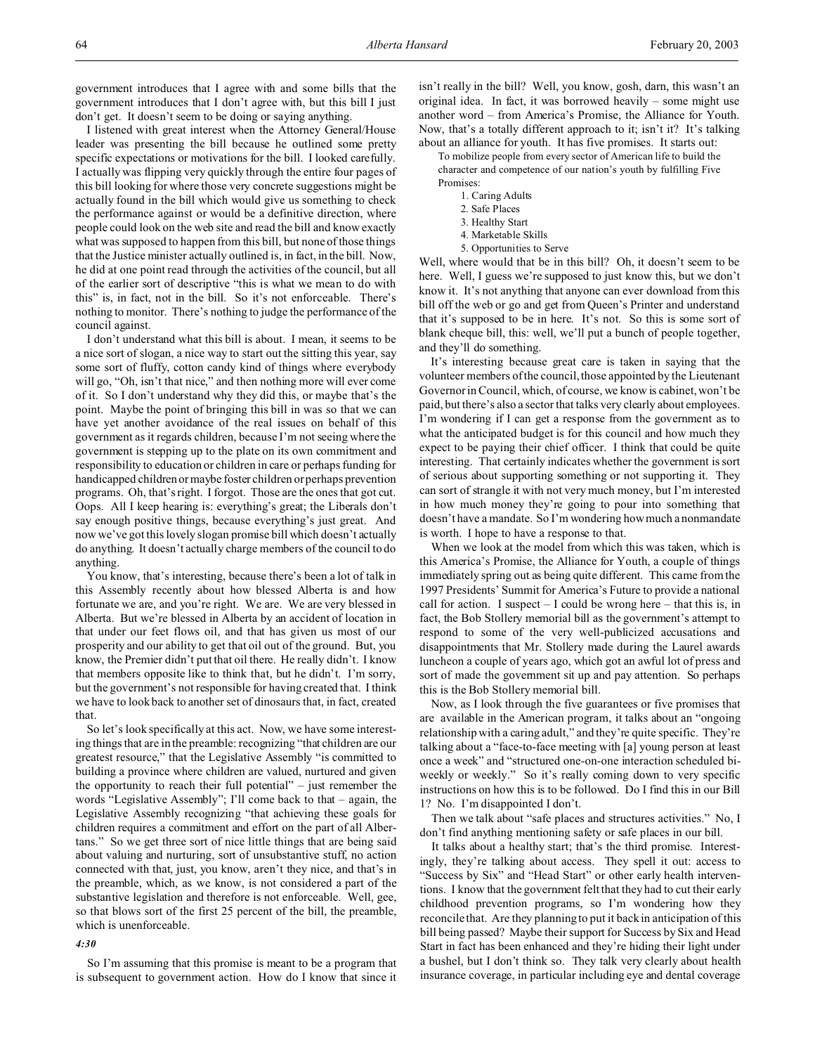government introduces that I agree with and some bills that the government introduces that I don't agree with, but this bill I just don't get. It doesn't seem to be doing or saying anything.

I listened with great interest when the Attorney General/House leader was presenting the bill because he outlined some pretty specific expectations or motivations for the bill. I looked carefully. I actually was flipping very quickly through the entire four pages of this bill looking for where those very concrete suggestions might be actually found in the bill which would give us something to check the performance against or would be a definitive direction, where people could look on the web site and read the bill and know exactly what was supposed to happen from this bill, but none of those things that the Justice minister actually outlined is, in fact, in the bill. Now, he did at one point read through the activities of the council, but all of the earlier sort of descriptive "this is what we mean to do with this" is, in fact, not in the bill. So it's not enforceable. There's nothing to monitor. There's nothing to judge the performance of the council against.

I don't understand what this bill is about. I mean, it seems to be a nice sort of slogan, a nice way to start out the sitting this year, say some sort of fluffy, cotton candy kind of things where everybody will go, "Oh, isn't that nice," and then nothing more will ever come of it. So I don't understand why they did this, or maybe that's the point. Maybe the point of bringing this bill in was so that we can have yet another avoidance of the real issues on behalf of this government as it regards children, because I'm not seeing where the government is stepping up to the plate on its own commitment and responsibility to education or children in care or perhaps funding for handicapped children or maybe foster children or perhaps prevention programs. Oh, that's right. I forgot. Those are the ones that got cut. Oops. All I keep hearing is: everything's great; the Liberals don't say enough positive things, because everything's just great. And now we've got this lovely slogan promise bill which doesn't actually do anything. It doesn't actually charge members of the council to do anything.

You know, that's interesting, because there's been a lot of talk in this Assembly recently about how blessed Alberta is and how fortunate we are, and you're right. We are. We are very blessed in Alberta. But we're blessed in Alberta by an accident of location in that under our feet flows oil, and that has given us most of our prosperity and our ability to get that oil out of the ground. But, you know, the Premier didn't put that oil there. He really didn't. I know that members opposite like to think that, but he didn't. I'm sorry, but the government's not responsible for having created that. I think we have to look back to another set of dinosaurs that, in fact, created that.

So let's look specifically at this act. Now, we have some interesting things that are in the preamble: recognizing "that children are our greatest resource," that the Legislative Assembly "is committed to building a province where children are valued, nurtured and given the opportunity to reach their full potential" – just remember the words "Legislative Assembly"; I'll come back to that – again, the Legislative Assembly recognizing "that achieving these goals for children requires a commitment and effort on the part of all Albertans." So we get three sort of nice little things that are being said about valuing and nurturing, sort of unsubstantive stuff, no action connected with that, just, you know, aren't they nice, and that's in the preamble, which, as we know, is not considered a part of the substantive legislation and therefore is not enforceable. Well, gee, so that blows sort of the first 25 percent of the bill, the preamble, which is unenforceable.

#### *4:30*

So I'm assuming that this promise is meant to be a program that is subsequent to government action. How do I know that since it

isn't really in the bill? Well, you know, gosh, darn, this wasn't an original idea. In fact, it was borrowed heavily – some might use another word – from America's Promise, the Alliance for Youth. Now, that's a totally different approach to it; isn't it? It's talking about an alliance for youth. It has five promises. It starts out:

To mobilize people from every sector of American life to build the character and competence of our nation's youth by fulfilling Five Promises:

- 1. Caring Adults
- 2. Safe Places
- 3. Healthy Start
- 4. Marketable Skills
- 5. Opportunities to Serve

Well, where would that be in this bill? Oh, it doesn't seem to be here. Well, I guess we're supposed to just know this, but we don't know it. It's not anything that anyone can ever download from this bill off the web or go and get from Queen's Printer and understand that it's supposed to be in here. It's not. So this is some sort of blank cheque bill, this: well, we'll put a bunch of people together, and they'll do something.

It's interesting because great care is taken in saying that the volunteer members of the council, those appointed by the Lieutenant Governor in Council, which, of course, we know is cabinet, won't be paid, but there's also a sector that talks very clearly about employees. I'm wondering if I can get a response from the government as to what the anticipated budget is for this council and how much they expect to be paying their chief officer. I think that could be quite interesting. That certainly indicates whether the government is sort of serious about supporting something or not supporting it. They can sort of strangle it with not very much money, but I'm interested in how much money they're going to pour into something that doesn't have a mandate. So I'm wondering how much a nonmandate is worth. I hope to have a response to that.

When we look at the model from which this was taken, which is this America's Promise, the Alliance for Youth, a couple of things immediately spring out as being quite different. This came from the 1997 Presidents' Summit for America's Future to provide a national call for action. I suspect  $- I$  could be wrong here  $-$  that this is, in fact, the Bob Stollery memorial bill as the government's attempt to respond to some of the very well-publicized accusations and disappointments that Mr. Stollery made during the Laurel awards luncheon a couple of years ago, which got an awful lot of press and sort of made the government sit up and pay attention. So perhaps this is the Bob Stollery memorial bill.

Now, as I look through the five guarantees or five promises that are available in the American program, it talks about an "ongoing relationship with a caring adult," and they're quite specific. They're talking about a "face-to-face meeting with [a] young person at least once a week" and "structured one-on-one interaction scheduled biweekly or weekly." So it's really coming down to very specific instructions on how this is to be followed. Do I find this in our Bill 1? No. I'm disappointed I don't.

Then we talk about "safe places and structures activities." No, I don't find anything mentioning safety or safe places in our bill.

It talks about a healthy start; that's the third promise. Interestingly, they're talking about access. They spell it out: access to "Success by Six" and "Head Start" or other early health interventions. I know that the government felt that they had to cut their early childhood prevention programs, so I'm wondering how they reconcile that. Are they planning to put it back in anticipation of this bill being passed? Maybe their support for Success by Six and Head Start in fact has been enhanced and they're hiding their light under a bushel, but I don't think so. They talk very clearly about health insurance coverage, in particular including eye and dental coverage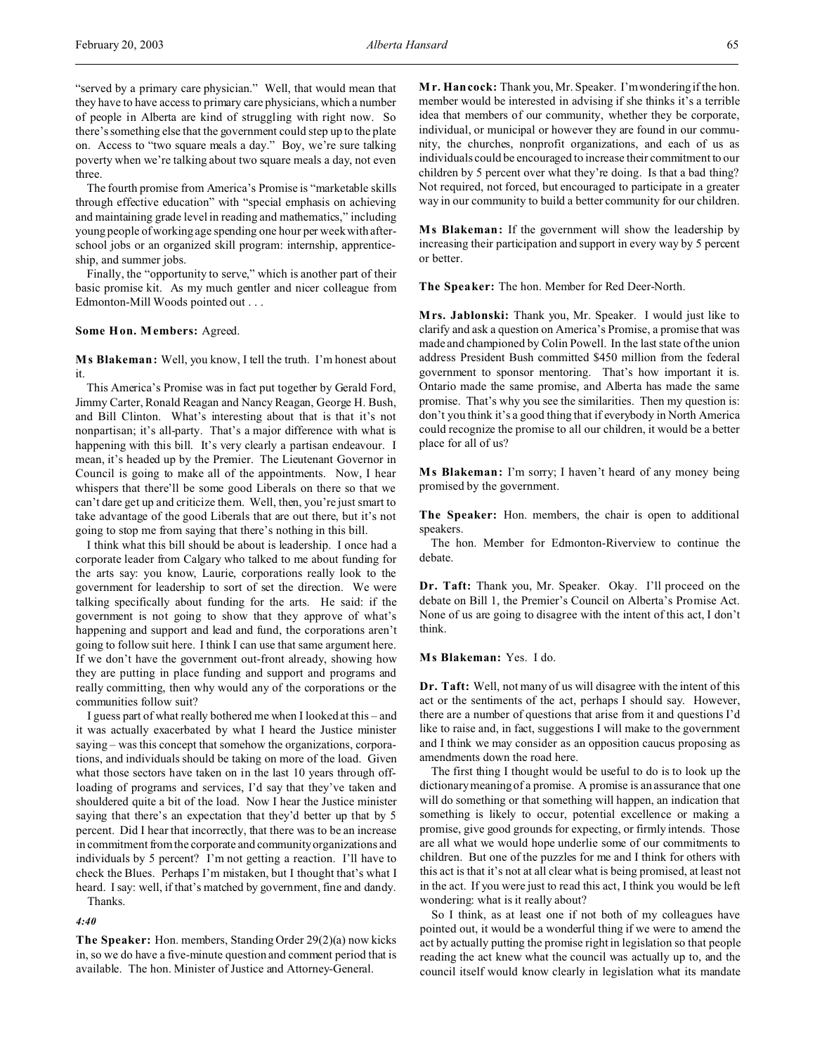"served by a primary care physician." Well, that would mean that they have to have access to primary care physicians, which a number of people in Alberta are kind of struggling with right now. So there's something else that the government could step up to the plate on. Access to "two square meals a day." Boy, we're sure talking poverty when we're talking about two square meals a day, not even three.

The fourth promise from America's Promise is "marketable skills through effective education" with "special emphasis on achieving and maintaining grade level in reading and mathematics," including young people of working age spending one hour per week with afterschool jobs or an organized skill program: internship, apprenticeship, and summer jobs.

Finally, the "opportunity to serve," which is another part of their basic promise kit. As my much gentler and nicer colleague from Edmonton-Mill Woods pointed out . . .

#### **Some Hon. Members:** Agreed.

**M s Blakeman:** Well, you know, I tell the truth. I'm honest about it.

This America's Promise was in fact put together by Gerald Ford, Jimmy Carter, Ronald Reagan and Nancy Reagan, George H. Bush, and Bill Clinton. What's interesting about that is that it's not nonpartisan; it's all-party. That's a major difference with what is happening with this bill. It's very clearly a partisan endeavour. I mean, it's headed up by the Premier. The Lieutenant Governor in Council is going to make all of the appointments. Now, I hear whispers that there'll be some good Liberals on there so that we can't dare get up and criticize them. Well, then, you're just smart to take advantage of the good Liberals that are out there, but it's not going to stop me from saying that there's nothing in this bill.

I think what this bill should be about is leadership. I once had a corporate leader from Calgary who talked to me about funding for the arts say: you know, Laurie, corporations really look to the government for leadership to sort of set the direction. We were talking specifically about funding for the arts. He said: if the government is not going to show that they approve of what's happening and support and lead and fund, the corporations aren't going to follow suit here. I think I can use that same argument here. If we don't have the government out-front already, showing how they are putting in place funding and support and programs and really committing, then why would any of the corporations or the communities follow suit?

I guess part of what really bothered me when I looked at this – and it was actually exacerbated by what I heard the Justice minister saying – was this concept that somehow the organizations, corporations, and individuals should be taking on more of the load. Given what those sectors have taken on in the last 10 years through offloading of programs and services, I'd say that they've taken and shouldered quite a bit of the load. Now I hear the Justice minister saying that there's an expectation that they'd better up that by 5 percent. Did I hear that incorrectly, that there was to be an increase in commitment from the corporate and community organizations and individuals by 5 percent? I'm not getting a reaction. I'll have to check the Blues. Perhaps I'm mistaken, but I thought that's what I heard. I say: well, if that's matched by government, fine and dandy. Thanks.

*4:40*

**The Speaker:** Hon. members, Standing Order 29(2)(a) now kicks in, so we do have a five-minute question and comment period that is available. The hon. Minister of Justice and Attorney-General.

**M r. Hancock:** Thank you, Mr. Speaker. I'm wondering if the hon. member would be interested in advising if she thinks it's a terrible idea that members of our community, whether they be corporate, individual, or municipal or however they are found in our community, the churches, nonprofit organizations, and each of us as individuals could be encouraged to increase their commitment to our children by 5 percent over what they're doing. Is that a bad thing? Not required, not forced, but encouraged to participate in a greater way in our community to build a better community for our children.

**M s Blakeman:** If the government will show the leadership by increasing their participation and support in every way by 5 percent or better.

**The Speaker:** The hon. Member for Red Deer-North.

**Mrs. Jablonski:** Thank you, Mr. Speaker. I would just like to clarify and ask a question on America's Promise, a promise that was made and championed by Colin Powell. In the last state of the union address President Bush committed \$450 million from the federal government to sponsor mentoring. That's how important it is. Ontario made the same promise, and Alberta has made the same promise. That's why you see the similarities. Then my question is: don't you think it's a good thing that if everybody in North America could recognize the promise to all our children, it would be a better place for all of us?

**M s Blakeman:** I'm sorry; I haven't heard of any money being promised by the government.

**The Speaker:** Hon. members, the chair is open to additional speakers.

The hon. Member for Edmonton-Riverview to continue the debate.

**Dr. Taft:** Thank you, Mr. Speaker. Okay. I'll proceed on the debate on Bill 1, the Premier's Council on Alberta's Promise Act. None of us are going to disagree with the intent of this act, I don't think.

# **Ms Blakeman:** Yes. I do.

**Dr. Taft:** Well, not many of us will disagree with the intent of this act or the sentiments of the act, perhaps I should say. However, there are a number of questions that arise from it and questions I'd like to raise and, in fact, suggestions I will make to the government and I think we may consider as an opposition caucus proposing as amendments down the road here.

The first thing I thought would be useful to do is to look up the dictionary meaning of a promise. A promise is an assurance that one will do something or that something will happen, an indication that something is likely to occur, potential excellence or making a promise, give good grounds for expecting, or firmly intends. Those are all what we would hope underlie some of our commitments to children. But one of the puzzles for me and I think for others with this act is that it's not at all clear what is being promised, at least not in the act. If you were just to read this act, I think you would be left wondering: what is it really about?

So I think, as at least one if not both of my colleagues have pointed out, it would be a wonderful thing if we were to amend the act by actually putting the promise right in legislation so that people reading the act knew what the council was actually up to, and the council itself would know clearly in legislation what its mandate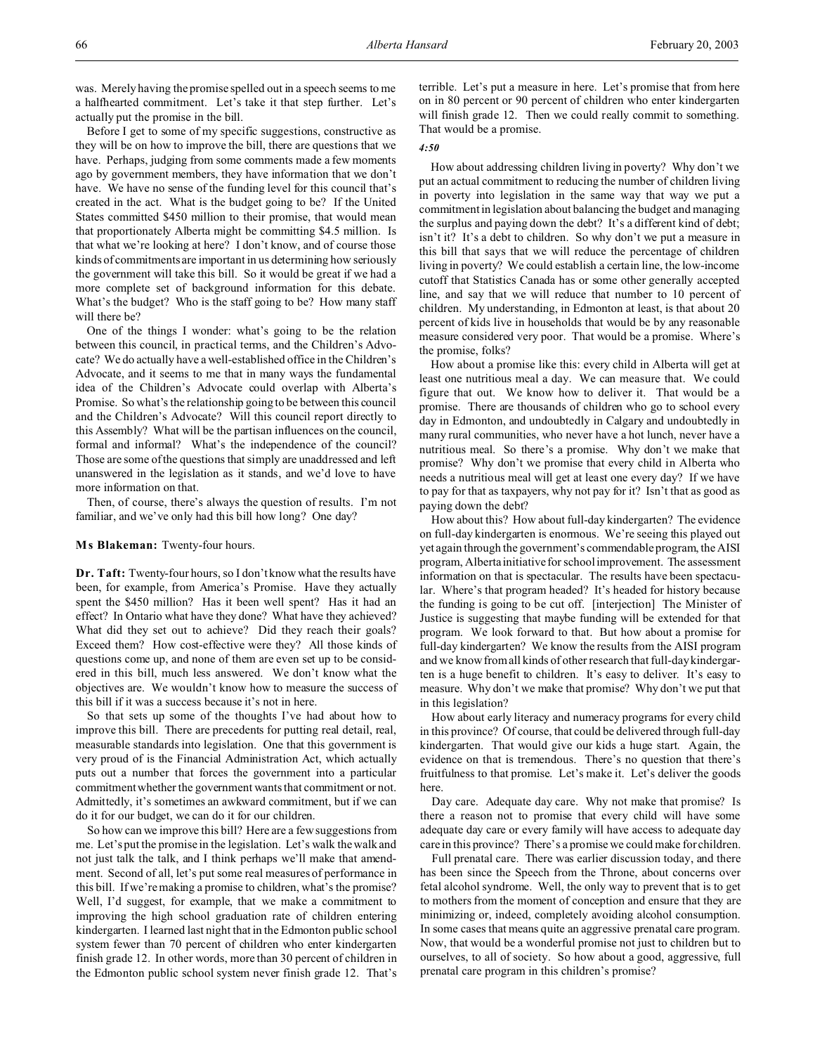was. Merely having the promise spelled out in a speech seems to me a halfhearted commitment. Let's take it that step further. Let's actually put the promise in the bill.

Before I get to some of my specific suggestions, constructive as they will be on how to improve the bill, there are questions that we have. Perhaps, judging from some comments made a few moments ago by government members, they have information that we don't have. We have no sense of the funding level for this council that's created in the act. What is the budget going to be? If the United States committed \$450 million to their promise, that would mean that proportionately Alberta might be committing \$4.5 million. Is that what we're looking at here? I don't know, and of course those kinds of commitments are important in us determining how seriously the government will take this bill. So it would be great if we had a more complete set of background information for this debate. What's the budget? Who is the staff going to be? How many staff will there be?

One of the things I wonder: what's going to be the relation between this council, in practical terms, and the Children's Advocate? We do actually have a well-established office in the Children's Advocate, and it seems to me that in many ways the fundamental idea of the Children's Advocate could overlap with Alberta's Promise. So what's the relationship going to be between this council and the Children's Advocate? Will this council report directly to this Assembly? What will be the partisan influences on the council, formal and informal? What's the independence of the council? Those are some of the questions that simply are unaddressed and left unanswered in the legislation as it stands, and we'd love to have more information on that.

Then, of course, there's always the question of results. I'm not familiar, and we've only had this bill how long? One day?

#### **Ms Blakeman:** Twenty-four hours.

**Dr. Taft:** Twenty-four hours, so I don't know what the results have been, for example, from America's Promise. Have they actually spent the \$450 million? Has it been well spent? Has it had an effect? In Ontario what have they done? What have they achieved? What did they set out to achieve? Did they reach their goals? Exceed them? How cost-effective were they? All those kinds of questions come up, and none of them are even set up to be considered in this bill, much less answered. We don't know what the objectives are. We wouldn't know how to measure the success of this bill if it was a success because it's not in here.

So that sets up some of the thoughts I've had about how to improve this bill. There are precedents for putting real detail, real, measurable standards into legislation. One that this government is very proud of is the Financial Administration Act, which actually puts out a number that forces the government into a particular commitment whether the government wants that commitment or not. Admittedly, it's sometimes an awkward commitment, but if we can do it for our budget, we can do it for our children.

So how can we improve this bill? Here are a few suggestions from me. Let's put the promise in the legislation. Let's walk the walk and not just talk the talk, and I think perhaps we'll make that amendment. Second of all, let's put some real measures of performance in this bill. If we're making a promise to children, what's the promise? Well, I'd suggest, for example, that we make a commitment to improving the high school graduation rate of children entering kindergarten. I learned last night that in the Edmonton public school system fewer than 70 percent of children who enter kindergarten finish grade 12. In other words, more than 30 percent of children in the Edmonton public school system never finish grade 12. That's

terrible. Let's put a measure in here. Let's promise that from here on in 80 percent or 90 percent of children who enter kindergarten will finish grade 12. Then we could really commit to something. That would be a promise.

# *4:50*

How about addressing children living in poverty? Why don't we put an actual commitment to reducing the number of children living in poverty into legislation in the same way that way we put a commitment in legislation about balancing the budget and managing the surplus and paying down the debt? It's a different kind of debt; isn't it? It's a debt to children. So why don't we put a measure in this bill that says that we will reduce the percentage of children living in poverty? We could establish a certain line, the low-income cutoff that Statistics Canada has or some other generally accepted line, and say that we will reduce that number to 10 percent of children. My understanding, in Edmonton at least, is that about 20 percent of kids live in households that would be by any reasonable measure considered very poor. That would be a promise. Where's the promise, folks?

How about a promise like this: every child in Alberta will get at least one nutritious meal a day. We can measure that. We could figure that out. We know how to deliver it. That would be a promise. There are thousands of children who go to school every day in Edmonton, and undoubtedly in Calgary and undoubtedly in many rural communities, who never have a hot lunch, never have a nutritious meal. So there's a promise. Why don't we make that promise? Why don't we promise that every child in Alberta who needs a nutritious meal will get at least one every day? If we have to pay for that as taxpayers, why not pay for it? Isn't that as good as paying down the debt?

How about this? How about full-day kindergarten? The evidence on full-day kindergarten is enormous. We're seeing this played out yet again through the government's commendable program, the AISI program, Alberta initiative for school improvement. The assessment information on that is spectacular. The results have been spectacular. Where's that program headed? It's headed for history because the funding is going to be cut off. [interjection] The Minister of Justice is suggesting that maybe funding will be extended for that program. We look forward to that. But how about a promise for full-day kindergarten? We know the results from the AISI program and we know from all kinds of other research that full-day kindergarten is a huge benefit to children. It's easy to deliver. It's easy to measure. Why don't we make that promise? Why don't we put that in this legislation?

How about early literacy and numeracy programs for every child in this province? Of course, that could be delivered through full-day kindergarten. That would give our kids a huge start. Again, the evidence on that is tremendous. There's no question that there's fruitfulness to that promise. Let's make it. Let's deliver the goods here.

Day care. Adequate day care. Why not make that promise? Is there a reason not to promise that every child will have some adequate day care or every family will have access to adequate day care in this province? There's a promise we could make for children.

Full prenatal care. There was earlier discussion today, and there has been since the Speech from the Throne, about concerns over fetal alcohol syndrome. Well, the only way to prevent that is to get to mothers from the moment of conception and ensure that they are minimizing or, indeed, completely avoiding alcohol consumption. In some cases that means quite an aggressive prenatal care program. Now, that would be a wonderful promise not just to children but to ourselves, to all of society. So how about a good, aggressive, full prenatal care program in this children's promise?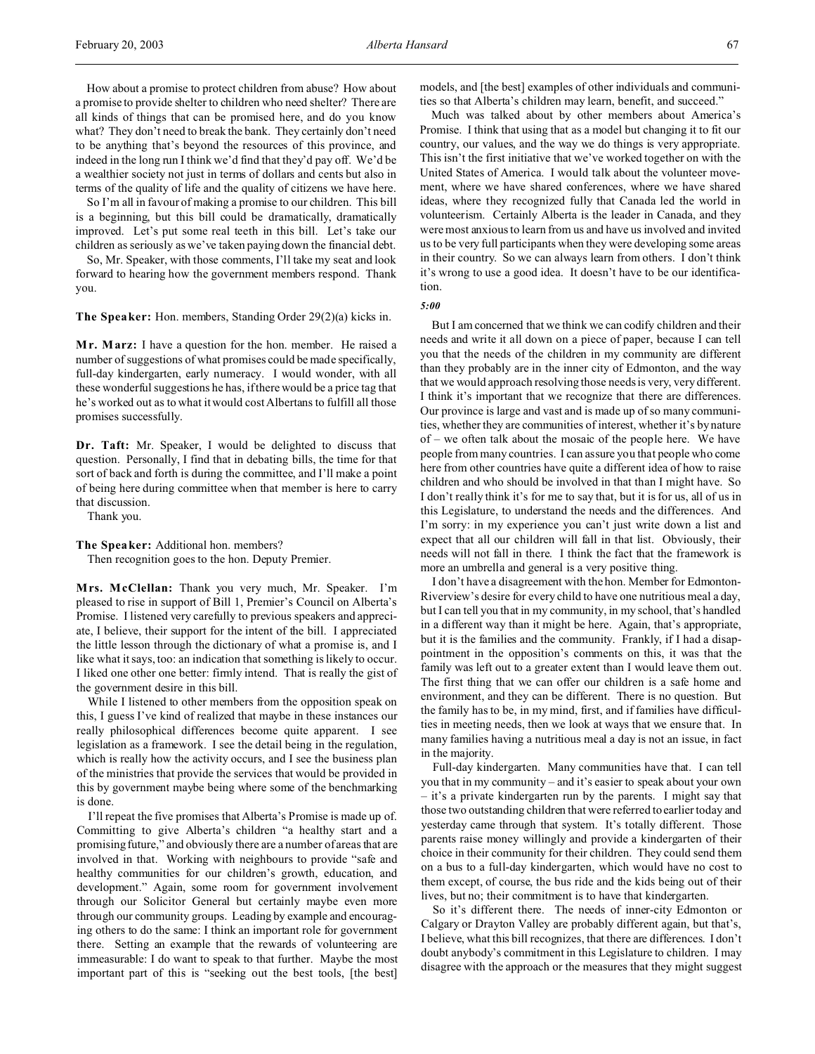How about a promise to protect children from abuse? How about a promise to provide shelter to children who need shelter? There are all kinds of things that can be promised here, and do you know what? They don't need to break the bank. They certainly don't need to be anything that's beyond the resources of this province, and indeed in the long run I think we'd find that they'd pay off. We'd be a wealthier society not just in terms of dollars and cents but also in terms of the quality of life and the quality of citizens we have here.

So I'm all in favour of making a promise to our children. This bill is a beginning, but this bill could be dramatically, dramatically improved. Let's put some real teeth in this bill. Let's take our children as seriously as we've taken paying down the financial debt.

So, Mr. Speaker, with those comments, I'll take my seat and look forward to hearing how the government members respond. Thank you.

**The Speaker:** Hon. members, Standing Order 29(2)(a) kicks in.

**M r. Marz:** I have a question for the hon. member. He raised a number of suggestions of what promises could be made specifically, full-day kindergarten, early numeracy. I would wonder, with all these wonderful suggestions he has, if there would be a price tag that he's worked out as to what it would cost Albertans to fulfill all those promises successfully.

**Dr. Taft:** Mr. Speaker, I would be delighted to discuss that question. Personally, I find that in debating bills, the time for that sort of back and forth is during the committee, and I'll make a point of being here during committee when that member is here to carry that discussion.

Thank you.

**The Speaker:** Additional hon. members?

Then recognition goes to the hon. Deputy Premier.

**Mrs. McClellan:** Thank you very much, Mr. Speaker. I'm pleased to rise in support of Bill 1, Premier's Council on Alberta's Promise. I listened very carefully to previous speakers and appreciate, I believe, their support for the intent of the bill. I appreciated the little lesson through the dictionary of what a promise is, and I like what it says, too: an indication that something is likely to occur. I liked one other one better: firmly intend. That is really the gist of the government desire in this bill.

While I listened to other members from the opposition speak on this, I guess I've kind of realized that maybe in these instances our really philosophical differences become quite apparent. I see legislation as a framework. I see the detail being in the regulation, which is really how the activity occurs, and I see the business plan of the ministries that provide the services that would be provided in this by government maybe being where some of the benchmarking is done.

I'll repeat the five promises that Alberta's Promise is made up of. Committing to give Alberta's children "a healthy start and a promising future," and obviously there are a number of areas that are involved in that. Working with neighbours to provide "safe and healthy communities for our children's growth, education, and development." Again, some room for government involvement through our Solicitor General but certainly maybe even more through our community groups. Leading by example and encouraging others to do the same: I think an important role for government there. Setting an example that the rewards of volunteering are immeasurable: I do want to speak to that further. Maybe the most important part of this is "seeking out the best tools, [the best]

models, and [the best] examples of other individuals and communities so that Alberta's children may learn, benefit, and succeed."

Much was talked about by other members about America's Promise. I think that using that as a model but changing it to fit our country, our values, and the way we do things is very appropriate. This isn't the first initiative that we've worked together on with the United States of America. I would talk about the volunteer movement, where we have shared conferences, where we have shared ideas, where they recognized fully that Canada led the world in volunteerism. Certainly Alberta is the leader in Canada, and they were most anxious to learn from us and have us involved and invited us to be very full participants when they were developing some areas in their country. So we can always learn from others. I don't think it's wrong to use a good idea. It doesn't have to be our identification.

*5:00*

But I am concerned that we think we can codify children and their needs and write it all down on a piece of paper, because I can tell you that the needs of the children in my community are different than they probably are in the inner city of Edmonton, and the way that we would approach resolving those needs is very, very different. I think it's important that we recognize that there are differences. Our province is large and vast and is made up of so many communities, whether they are communities of interest, whether it's by nature of – we often talk about the mosaic of the people here. We have people from many countries. I can assure you that people who come here from other countries have quite a different idea of how to raise children and who should be involved in that than I might have. So I don't really think it's for me to say that, but it is for us, all of us in this Legislature, to understand the needs and the differences. And I'm sorry: in my experience you can't just write down a list and expect that all our children will fall in that list. Obviously, their needs will not fall in there. I think the fact that the framework is more an umbrella and general is a very positive thing.

I don't have a disagreement with the hon. Member for Edmonton-Riverview's desire for every child to have one nutritious meal a day, but I can tell you that in my community, in my school, that's handled in a different way than it might be here. Again, that's appropriate, but it is the families and the community. Frankly, if I had a disappointment in the opposition's comments on this, it was that the family was left out to a greater extent than I would leave them out. The first thing that we can offer our children is a safe home and environment, and they can be different. There is no question. But the family has to be, in my mind, first, and if families have difficulties in meeting needs, then we look at ways that we ensure that. In many families having a nutritious meal a day is not an issue, in fact in the majority.

Full-day kindergarten. Many communities have that. I can tell you that in my community – and it's easier to speak about your own – it's a private kindergarten run by the parents. I might say that those two outstanding children that were referred to earlier today and yesterday came through that system. It's totally different. Those parents raise money willingly and provide a kindergarten of their choice in their community for their children. They could send them on a bus to a full-day kindergarten, which would have no cost to them except, of course, the bus ride and the kids being out of their lives, but no; their commitment is to have that kindergarten.

So it's different there. The needs of inner-city Edmonton or Calgary or Drayton Valley are probably different again, but that's, I believe, what this bill recognizes, that there are differences. I don't doubt anybody's commitment in this Legislature to children. I may disagree with the approach or the measures that they might suggest